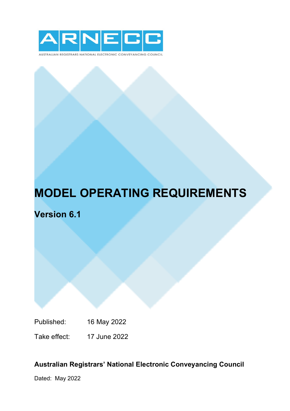

AUSTRALIAN REGISTRARS NATIONAL ELECTRONIC CONVEYANCING COUNCIL

# **MODEL OPERATING REQUIREMENTS**

**Version 6.1**

Published: 16 May 2022

Take effect: 17 June 2022

# **Australian Registrars' National Electronic Conveyancing Council**

Dated: May 2022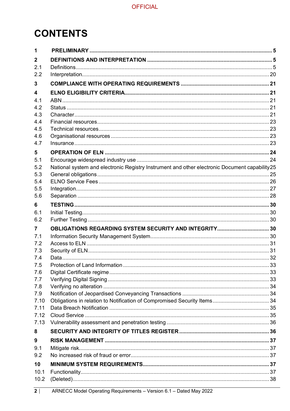# **CONTENTS**

| 1              |                                                                                               |  |
|----------------|-----------------------------------------------------------------------------------------------|--|
| $\mathbf{2}$   |                                                                                               |  |
| 2.1            |                                                                                               |  |
| 2.2            |                                                                                               |  |
| 3              |                                                                                               |  |
| 4              |                                                                                               |  |
| 4.1            |                                                                                               |  |
| 4.2            |                                                                                               |  |
| 4.3            |                                                                                               |  |
| 4.4            |                                                                                               |  |
| 4.5            |                                                                                               |  |
| 4.6<br>4.7     |                                                                                               |  |
| 5              |                                                                                               |  |
| 5.1            |                                                                                               |  |
| 5.2            | National system and electronic Registry Instrument and other electronic Document capability25 |  |
| 5.3            |                                                                                               |  |
| 5.4            |                                                                                               |  |
| 5.5            |                                                                                               |  |
| 5.6            |                                                                                               |  |
| 6              |                                                                                               |  |
| 6.1            |                                                                                               |  |
| 6.2            |                                                                                               |  |
| $\overline{7}$ | OBLIGATIONS REGARDING SYSTEM SECURITY AND INTEGRITY 30                                        |  |
| 7.1            |                                                                                               |  |
| 7.2            |                                                                                               |  |
| 7.3            |                                                                                               |  |
| 7.4            |                                                                                               |  |
| 7.5            |                                                                                               |  |
| 7.6<br>7.7     |                                                                                               |  |
| 7.8            |                                                                                               |  |
| 7.9            |                                                                                               |  |
| 7.10           |                                                                                               |  |
| 7.11           |                                                                                               |  |
| 7.12           |                                                                                               |  |
| 7.13           |                                                                                               |  |
| 8              |                                                                                               |  |
| 9              |                                                                                               |  |
| 9.1            |                                                                                               |  |
| 9.2            |                                                                                               |  |
| 10             |                                                                                               |  |
| 10.1           |                                                                                               |  |
| 10.2           |                                                                                               |  |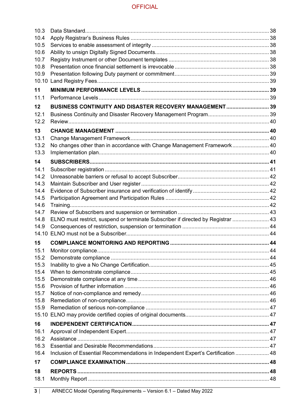| 10.3  |                                                                                  |  |
|-------|----------------------------------------------------------------------------------|--|
| 10.4  |                                                                                  |  |
| 10.5  |                                                                                  |  |
| 10.6  |                                                                                  |  |
| 10.7  |                                                                                  |  |
| 10.8  |                                                                                  |  |
| 10.9  |                                                                                  |  |
| 10.10 |                                                                                  |  |
| 11    |                                                                                  |  |
| 11.1  |                                                                                  |  |
| 12    | BUSINESS CONTINUITY AND DISASTER RECOVERY MANAGEMENT 39                          |  |
| 12.1  |                                                                                  |  |
| 12.2  |                                                                                  |  |
| 13    |                                                                                  |  |
| 13.1  |                                                                                  |  |
| 13.2  | No changes other than in accordance with Change Management Framework 40          |  |
| 13.3  |                                                                                  |  |
| 14    |                                                                                  |  |
| 14.1  |                                                                                  |  |
| 14.2  |                                                                                  |  |
| 14.3  |                                                                                  |  |
| 14.4  |                                                                                  |  |
| 14.5  |                                                                                  |  |
| 14.6  |                                                                                  |  |
| 14.7  |                                                                                  |  |
| 14.8  | ELNO must restrict, suspend or terminate Subscriber if directed by Registrar  43 |  |
| 14.9  |                                                                                  |  |
| 14.10 |                                                                                  |  |
| 15    |                                                                                  |  |
| 15.1  |                                                                                  |  |
| 15.2  |                                                                                  |  |
| 15.3  |                                                                                  |  |
| 15.4  |                                                                                  |  |
| 15.5  |                                                                                  |  |
| 15.6  |                                                                                  |  |
| 15.7  |                                                                                  |  |
| 15.8  |                                                                                  |  |
| 15.9  |                                                                                  |  |
|       |                                                                                  |  |
| 16    |                                                                                  |  |
| 16.1  |                                                                                  |  |
| 16.2  |                                                                                  |  |
| 16.3  |                                                                                  |  |
| 16.4  | Inclusion of Essential Recommendations in Independent Expert's Certification  48 |  |
| 17    |                                                                                  |  |
| 18    |                                                                                  |  |
| 18.1  |                                                                                  |  |
|       |                                                                                  |  |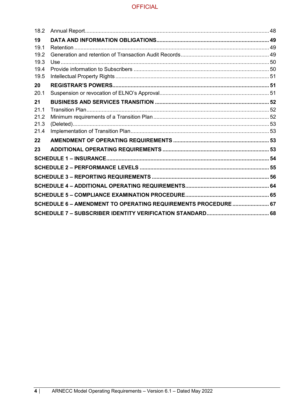| 18.2 |                                                                |  |
|------|----------------------------------------------------------------|--|
| 19   |                                                                |  |
| 19.1 |                                                                |  |
| 19.2 |                                                                |  |
| 19.3 |                                                                |  |
| 19.4 |                                                                |  |
| 19.5 |                                                                |  |
| 20   |                                                                |  |
| 20.1 |                                                                |  |
| 21   |                                                                |  |
| 21.1 |                                                                |  |
| 21.2 |                                                                |  |
| 21.3 |                                                                |  |
| 21.4 |                                                                |  |
| 22   |                                                                |  |
| 23   |                                                                |  |
|      |                                                                |  |
|      |                                                                |  |
|      |                                                                |  |
|      |                                                                |  |
|      |                                                                |  |
|      | SCHEDULE 6 - AMENDMENT TO OPERATING REQUIREMENTS PROCEDURE  67 |  |
|      |                                                                |  |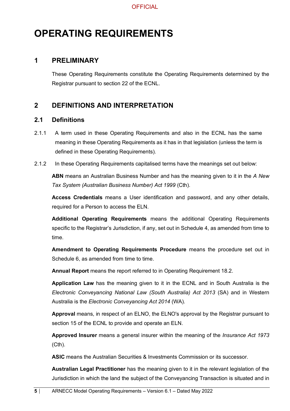# **OPERATING REQUIREMENTS**

## <span id="page-4-0"></span>**1 PRELIMINARY**

These Operating Requirements constitute the Operating Requirements determined by the Registrar pursuant to section 22 of the ECNL.

## <span id="page-4-1"></span>**2 DEFINITIONS AND INTERPRETATION**

## <span id="page-4-2"></span>**2.1 Definitions**

- 2.1.1 A term used in these Operating Requirements and also in the ECNL has the same meaning in these Operating Requirements as it has in that legislation (unless the term is defined in these Operating Requirements).
- 2.1.2 In these Operating Requirements capitalised terms have the meanings set out below:

**ABN** means an Australian Business Number and has the meaning given to it in the *A New Tax System (Australian Business Number) Act 1999* (Cth).

**Access Credentials** means a User identification and password, and any other details, required for a Person to access the ELN.

**Additional Operating Requirements** means the additional Operating Requirements specific to the Registrar's Jurisdiction, if any, set out in Schedule 4, as amended from time to time.

**Amendment to Operating Requirements Procedure** means the procedure set out in Schedule 6, as amended from time to time.

**Annual Report** means the report referred to in Operating Requirement 18.2.

**Application Law** has the meaning given to it in the ECNL and in South Australia is the *Electronic Conveyancing National Law (South Australia) Act 2013* (SA) and in Western Australia is the *Electronic Conveyancing Act 2014* (WA).

**Approval** means, in respect of an ELNO, the ELNO's approval by the Registrar pursuant to section 15 of the ECNL to provide and operate an ELN.

**Approved Insurer** means a general insurer within the meaning of the *Insurance Act 1973* (Cth).

**ASIC** means the Australian Securities & Investments Commission or its successor.

**Australian Legal Practitioner** has the meaning given to it in the relevant legislation of the Jurisdiction in which the land the subject of the Conveyancing Transaction is situated and in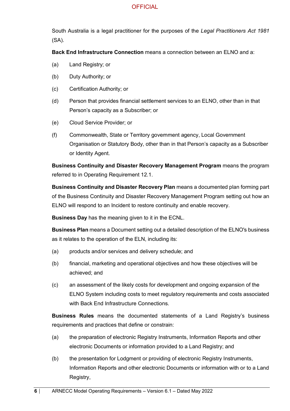South Australia is a legal practitioner for the purposes of the *Legal Practitioners Act 1981* (SA).

**Back End Infrastructure Connection** means a connection between an ELNO and a:

- (a) Land Registry; or
- (b) Duty Authority; or
- (c) Certification Authority; or
- (d) Person that provides financial settlement services to an ELNO, other than in that Person's capacity as a Subscriber; or
- (e) Cloud Service Provider; or
- (f) Commonwealth, State or Territory government agency, Local Government Organisation or Statutory Body, other than in that Person's capacity as a Subscriber or Identity Agent.

**Business Continuity and Disaster Recovery Management Program** means the program referred to in Operating Requirement 12.1.

**Business Continuity and Disaster Recovery Plan** means a documented plan forming part of the Business Continuity and Disaster Recovery Management Program setting out how an ELNO will respond to an Incident to restore continuity and enable recovery.

**Business Day** has the meaning given to it in the ECNL.

**Business Plan** means a Document setting out a detailed description of the ELNO's business as it relates to the operation of the ELN, including its:

- (a) products and/or services and delivery schedule; and
- (b) financial, marketing and operational objectives and how these objectives will be achieved; and
- (c) an assessment of the likely costs for development and ongoing expansion of the ELNO System including costs to meet regulatory requirements and costs associated with Back End Infrastructure Connections

**Business Rules** means the documented statements of a Land Registry's business requirements and practices that define or constrain:

- (a) the preparation of electronic Registry Instruments, Information Reports and other electronic Documents or information provided to a Land Registry; and
- (b) the presentation for Lodgment or providing of electronic Registry Instruments, Information Reports and other electronic Documents or information with or to a Land Registry,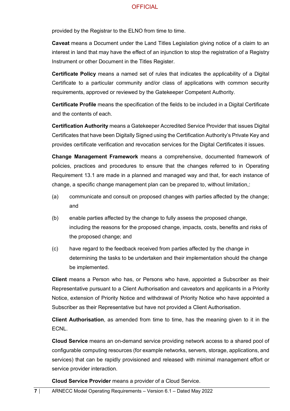provided by the Registrar to the ELNO from time to time.

**Caveat** means a Document under the Land Titles Legislation giving notice of a claim to an interest in land that may have the effect of an injunction to stop the registration of a Registry Instrument or other Document in the Titles Register.

**Certificate Policy** means a named set of rules that indicates the applicability of a Digital Certificate to a particular community and/or class of applications with common security requirements, approved or reviewed by the Gatekeeper Competent Authority.

**Certificate Profile** means the specification of the fields to be included in a Digital Certificate and the contents of each.

**Certification Authority** means a Gatekeeper Accredited Service Provider that issues Digital Certificates that have been Digitally Signed using the Certification Authority's Private Key and provides certificate verification and revocation services for the Digital Certificates it issues.

**Change Management Framework** means a comprehensive, documented framework of policies, practices and procedures to ensure that the changes referred to in Operating Requirement 13.1 are made in a planned and managed way and that, for each instance of change, a specific change management plan can be prepared to, without limitation,:

- (a) communicate and consult on proposed changes with parties affected by the change; and
- (b) enable parties affected by the change to fully assess the proposed change, including the reasons for the proposed change, impacts, costs, benefits and risks of the proposed change; and
- (c) have regard to the feedback received from parties affected by the change in determining the tasks to be undertaken and their implementation should the change be implemented.

**Client** means a Person who has, or Persons who have, appointed a Subscriber as their Representative pursuant to a Client Authorisation and caveators and applicants in a Priority Notice, extension of Priority Notice and withdrawal of Priority Notice who have appointed a Subscriber as their Representative but have not provided a Client Authorisation.

**Client Authorisation**, as amended from time to time, has the meaning given to it in the ECNL.

**Cloud Service** means an on-demand service providing network access to a shared pool of configurable computing resources (for example networks, servers, storage, applications, and services) that can be rapidly provisioned and released with minimal management effort or service provider interaction.

**Cloud Service Provider** means a provider of a Cloud Service.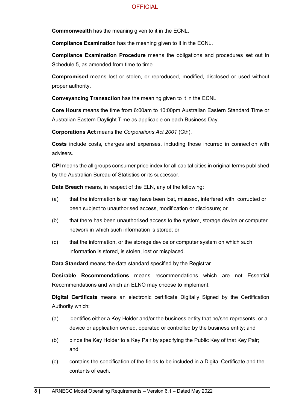**Commonwealth** has the meaning given to it in the ECNL.

**Compliance Examination** has the meaning given to it in the ECNL.

**Compliance Examination Procedure** means the obligations and procedures set out in Schedule 5, as amended from time to time.

**Compromised** means lost or stolen, or reproduced, modified, disclosed or used without proper authority.

**Conveyancing Transaction** has the meaning given to it in the ECNL.

**Core Hours** means the time from 6:00am to 10:00pm Australian Eastern Standard Time or Australian Eastern Daylight Time as applicable on each Business Day.

**Corporations Act** means the *Corporations Act 2001* (Cth).

**Costs** include costs, charges and expenses, including those incurred in connection with advisers.

**CPI** means the all groups consumer price index for all capital cities in original terms published by the Australian Bureau of Statistics or its successor.

**Data Breach** means, in respect of the ELN, any of the following:

- (a) that the information is or may have been lost, misused, interfered with, corrupted or been subject to unauthorised access, modification or disclosure; or
- (b) that there has been unauthorised access to the system, storage device or computer network in which such information is stored; or
- (c) that the information, or the storage device or computer system on which such information is stored, is stolen, lost or misplaced.

**Data Standard** means the data standard specified by the Registrar.

**Desirable Recommendations** means recommendations which are not Essential Recommendations and which an ELNO may choose to implement.

**Digital Certificate** means an electronic certificate Digitally Signed by the Certification Authority which:

- (a) identifies either a Key Holder and/or the business entity that he/she represents, or a device or application owned, operated or controlled by the business entity; and
- (b) binds the Key Holder to a Key Pair by specifying the Public Key of that Key Pair; and
- (c) contains the specification of the fields to be included in a Digital Certificate and the contents of each.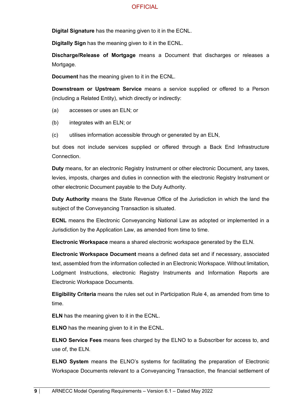**Digital Signature** has the meaning given to it in the ECNL.

**Digitally Sign** has the meaning given to it in the ECNL.

**Discharge/Release of Mortgage** means a Document that discharges or releases a Mortgage.

**Document** has the meaning given to it in the ECNL.

**Downstream or Upstream Service** means a service supplied or offered to a Person (including a Related Entity), which directly or indirectly:

- (a) accesses or uses an ELN; or
- (b) integrates with an ELN; or
- (c) utilises information accessible through or generated by an ELN,

but does not include services supplied or offered through a Back End Infrastructure Connection.

**Duty** means, for an electronic Registry Instrument or other electronic Document, any taxes, levies, imposts, charges and duties in connection with the electronic Registry Instrument or other electronic Document payable to the Duty Authority.

**Duty Authority** means the State Revenue Office of the Jurisdiction in which the land the subject of the Conveyancing Transaction is situated.

**ECNL** means the Electronic Conveyancing National Law as adopted or implemented in a Jurisdiction by the Application Law, as amended from time to time.

**Electronic Workspace** means a shared electronic workspace generated by the ELN.

**Electronic Workspace Document** means a defined data set and if necessary, associated text, assembled from the information collected in an Electronic Workspace. Without limitation, Lodgment Instructions, electronic Registry Instruments and Information Reports are Electronic Workspace Documents.

**Eligibility Criteria** means the rules set out in Participation Rule 4, as amended from time to time.

**ELN** has the meaning given to it in the ECNL.

**ELNO** has the meaning given to it in the ECNL.

**ELNO Service Fees** means fees charged by the ELNO to a Subscriber for access to, and use of, the ELN.

**ELNO System** means the ELNO's systems for facilitating the preparation of Electronic Workspace Documents relevant to a Conveyancing Transaction, the financial settlement of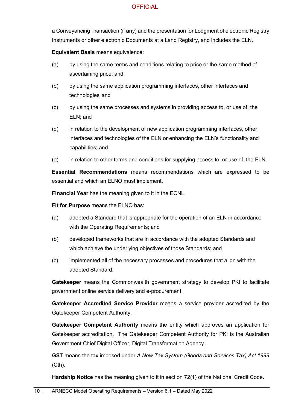a Conveyancing Transaction (if any) and the presentation for Lodgment of electronic Registry Instruments or other electronic Documents at a Land Registry, and includes the ELN.

**Equivalent Basis** means equivalence:

- (a) by using the same terms and conditions relating to price or the same method of ascertaining price; and
- (b) by using the same application programming interfaces, other interfaces and technologies; and
- (c) by using the same processes and systems in providing access to, or use of, the ELN; and
- (d) in relation to the development of new application programming interfaces, other interfaces and technologies of the ELN or enhancing the ELN's functionality and capabilities; and
- (e) in relation to other terms and conditions for supplying access to, or use of, the ELN.

**Essential Recommendations** means recommendations which are expressed to be essential and which an ELNO must implement.

**Financial Year** has the meaning given to it in the ECNL.

**Fit for Purpose** means the ELNO has:

- (a) adopted a Standard that is appropriate for the operation of an ELN in accordance with the Operating Requirements; and
- (b) developed frameworks that are in accordance with the adopted Standards and which achieve the underlying objectives of those Standards; and
- (c) implemented all of the necessary processes and procedures that align with the adopted Standard.

**Gatekeeper** means the Commonwealth government strategy to develop PKI to facilitate government online service delivery and e-procurement.

**Gatekeeper Accredited Service Provider** means a service provider accredited by the Gatekeeper Competent Authority.

**Gatekeeper Competent Authority** means the entity which approves an application for Gatekeeper accreditation. The Gatekeeper Competent Authority for PKI is the Australian Government Chief Digital Officer, Digital Transformation Agency.

**GST** means the tax imposed under *A New Tax System (Goods and Services Tax) Act 1999* (Cth).

**Hardship Notice** has the meaning given to it in section 72(1) of the National Credit Code.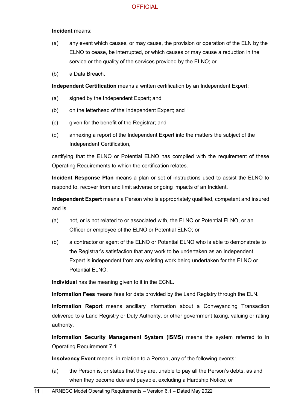#### **Incident** means:

- (a) any event which causes, or may cause, the provision or operation of the ELN by the ELNO to cease, be interrupted, or which causes or may cause a reduction in the service or the quality of the services provided by the ELNO; or
- (b) a Data Breach.

**Independent Certification** means a written certification by an Independent Expert:

- (a) signed by the Independent Expert; and
- (b) on the letterhead of the Independent Expert; and
- (c) given for the benefit of the Registrar; and
- (d) annexing a report of the Independent Expert into the matters the subject of the Independent Certification,

certifying that the ELNO or Potential ELNO has complied with the requirement of these Operating Requirements to which the certification relates.

**Incident Response Plan** means a plan or set of instructions used to assist the ELNO to respond to, recover from and limit adverse ongoing impacts of an Incident.

**Independent Expert** means a Person who is appropriately qualified, competent and insured and is:

- (a) not, or is not related to or associated with, the ELNO or Potential ELNO, or an Officer or employee of the ELNO or Potential ELNO; or
- (b) a contractor or agent of the ELNO or Potential ELNO who is able to demonstrate to the Registrar's satisfaction that any work to be undertaken as an Independent Expert is independent from any existing work being undertaken for the ELNO or Potential ELNO.

**Individual** has the meaning given to it in the ECNL.

**Information Fees** means fees for data provided by the Land Registry through the ELN.

**Information Report** means ancillary information about a Conveyancing Transaction delivered to a Land Registry or Duty Authority, or other government taxing, valuing or rating authority.

**Information Security Management System (ISMS)** means the system referred to in Operating Requirement 7.1.

**Insolvency Event** means, in relation to a Person, any of the following events:

(a) the Person is, or states that they are, unable to pay all the Person's debts, as and when they become due and payable, excluding a Hardship Notice; or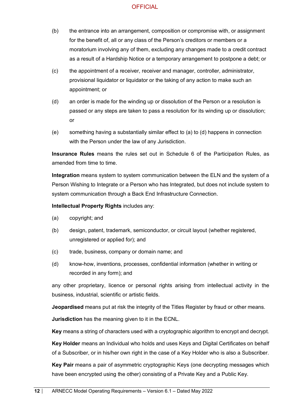- (b) the entrance into an arrangement, composition or compromise with, or assignment for the benefit of, all or any class of the Person's creditors or members or a moratorium involving any of them, excluding any changes made to a credit contract as a result of a Hardship Notice or a temporary arrangement to postpone a debt; or
- (c) the appointment of a receiver, receiver and manager, controller, administrator, provisional liquidator or liquidator or the taking of any action to make such an appointment; or
- (d) an order is made for the winding up or dissolution of the Person or a resolution is passed or any steps are taken to pass a resolution for its winding up or dissolution; or
- (e) something having a substantially similar effect to (a) to (d) happens in connection with the Person under the law of any Jurisdiction.

**Insurance Rules** means the rules set out in Schedule 6 of the Participation Rules, as amended from time to time.

**Integration** means system to system communication between the ELN and the system of a Person Wishing to Integrate or a Person who has Integrated, but does not include system to system communication through a Back End Infrastructure Connection.

**Intellectual Property Rights** includes any:

- (a) copyright; and
- (b) design, patent, trademark, semiconductor, or circuit layout (whether registered, unregistered or applied for); and
- (c) trade, business, company or domain name; and
- (d) know-how, inventions, processes, confidential information (whether in writing or recorded in any form); and

any other proprietary, licence or personal rights arising from intellectual activity in the business, industrial, scientific or artistic fields.

**Jeopardised** means put at risk the integrity of the Titles Register by fraud or other means.

**Jurisdiction** has the meaning given to it in the ECNL.

**Key** means a string of characters used with a cryptographic algorithm to encrypt and decrypt.

**Key Holder** means an Individual who holds and uses Keys and Digital Certificates on behalf of a Subscriber, or in his/her own right in the case of a Key Holder who is also a Subscriber.

**Key Pair** means a pair of asymmetric cryptographic Keys (one decrypting messages which have been encrypted using the other) consisting of a Private Key and a Public Key.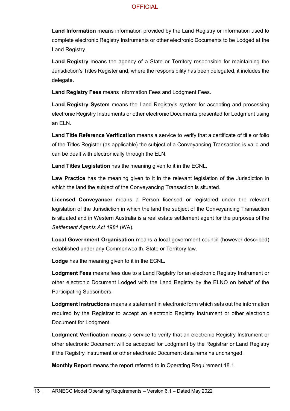**Land Information** means information provided by the Land Registry or information used to complete electronic Registry Instruments or other electronic Documents to be Lodged at the Land Registry.

**Land Registry** means the agency of a State or Territory responsible for maintaining the Jurisdiction's Titles Register and, where the responsibility has been delegated, it includes the delegate.

**Land Registry Fees** means Information Fees and Lodgment Fees.

**Land Registry System** means the Land Registry's system for accepting and processing electronic Registry Instruments or other electronic Documents presented for Lodgment using an ELN.

**Land Title Reference Verification** means a service to verify that a certificate of title or folio of the Titles Register (as applicable) the subject of a Conveyancing Transaction is valid and can be dealt with electronically through the ELN.

**Land Titles Legislation** has the meaning given to it in the ECNL.

**Law Practice** has the meaning given to it in the relevant legislation of the Jurisdiction in which the land the subject of the Conveyancing Transaction is situated.

**Licensed Conveyancer** means a Person licensed or registered under the relevant legislation of the Jurisdiction in which the land the subject of the Conveyancing Transaction is situated and in Western Australia is a real estate settlement agent for the purposes of the *Settlement Agents Act 1981* (WA).

**Local Government Organisation** means a local government council (however described) established under any Commonwealth, State or Territory law.

**Lodge** has the meaning given to it in the ECNL.

**Lodgment Fees** means fees due to a Land Registry for an electronic Registry Instrument or other electronic Document Lodged with the Land Registry by the ELNO on behalf of the Participating Subscribers.

**Lodgment Instructions** means a statement in electronic form which sets out the information required by the Registrar to accept an electronic Registry Instrument or other electronic Document for Lodgment.

**Lodgment Verification** means a service to verify that an electronic Registry Instrument or other electronic Document will be accepted for Lodgment by the Registrar or Land Registry if the Registry Instrument or other electronic Document data remains unchanged.

**Monthly Report** means the report referred to in Operating Requirement 18.1.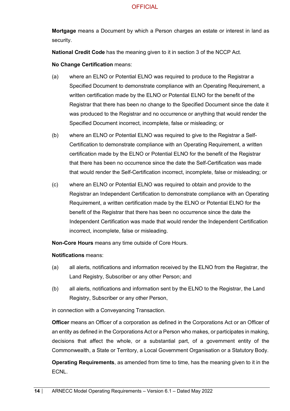**Mortgage** means a Document by which a Person charges an estate or interest in land as security.

**National Credit Code** has the meaning given to it in section 3 of the NCCP Act.

**No Change Certification** means:

- (a) where an ELNO or Potential ELNO was required to produce to the Registrar a Specified Document to demonstrate compliance with an Operating Requirement, a written certification made by the ELNO or Potential ELNO for the benefit of the Registrar that there has been no change to the Specified Document since the date it was produced to the Registrar and no occurrence or anything that would render the Specified Document incorrect, incomplete, false or misleading; or
- (b) where an ELNO or Potential ELNO was required to give to the Registrar a Self-Certification to demonstrate compliance with an Operating Requirement, a written certification made by the ELNO or Potential ELNO for the benefit of the Registrar that there has been no occurrence since the date the Self-Certification was made that would render the Self-Certification incorrect, incomplete, false or misleading; or
- (c) where an ELNO or Potential ELNO was required to obtain and provide to the Registrar an Independent Certification to demonstrate compliance with an Operating Requirement, a written certification made by the ELNO or Potential ELNO for the benefit of the Registrar that there has been no occurrence since the date the Independent Certification was made that would render the Independent Certification incorrect, incomplete, false or misleading.

**Non-Core Hours** means any time outside of Core Hours.

#### **Notifications** means:

- (a) all alerts, notifications and information received by the ELNO from the Registrar, the Land Registry, Subscriber or any other Person; and
- (b) all alerts, notifications and information sent by the ELNO to the Registrar, the Land Registry, Subscriber or any other Person,

in connection with a Conveyancing Transaction.

**Officer** means an Officer of a corporation as defined in the Corporations Act or an Officer of an entity as defined in the Corporations Act or a Person who makes, or participates in making, decisions that affect the whole, or a substantial part, of a government entity of the Commonwealth, a State or Territory, a Local Government Organisation or a Statutory Body.

**Operating Requirements**, as amended from time to time, has the meaning given to it in the **ECNL.**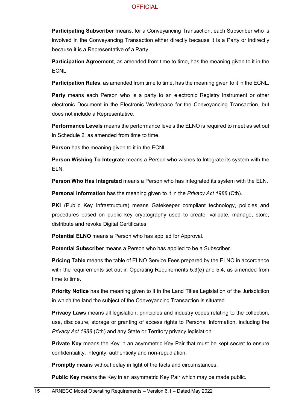**Participating Subscriber** means, for a Conveyancing Transaction, each Subscriber who is involved in the Conveyancing Transaction either directly because it is a Party or indirectly because it is a Representative of a Party.

**Participation Agreement**, as amended from time to time, has the meaning given to it in the ECNL.

**Participation Rules**, as amended from time to time, has the meaning given to it in the ECNL.

**Party** means each Person who is a party to an electronic Registry Instrument or other electronic Document in the Electronic Workspace for the Conveyancing Transaction, but does not include a Representative.

**Performance Levels** means the performance levels the ELNO is required to meet as set out in Schedule 2, as amended from time to time.

**Person** has the meaning given to it in the ECNL.

**Person Wishing To Integrate** means a Person who wishes to Integrate its system with the ELN.

**Person Who Has Integrated** means a Person who has Integrated its system with the ELN.

**Personal Information** has the meaning given to it in the *Privacy Act 1988* (Cth).

**PKI** (Public Key Infrastructure) means Gatekeeper compliant technology, policies and procedures based on public key cryptography used to create, validate, manage, store, distribute and revoke Digital Certificates.

**Potential ELNO** means a Person who has applied for Approval.

**Potential Subscriber** means a Person who has applied to be a Subscriber.

**Pricing Table** means the table of ELNO Service Fees prepared by the ELNO in accordance with the requirements set out in Operating Requirements 5.3(e) and 5.4, as amended from time to time.

**Priority Notice** has the meaning given to it in the Land Titles Legislation of the Jurisdiction in which the land the subject of the Conveyancing Transaction is situated.

**Privacy Laws** means all legislation, principles and industry codes relating to the collection, use, disclosure, storage or granting of access rights to Personal Information, including the *Privacy Act 1988* (Cth) and any State or Territory privacy legislation.

**Private Key** means the Key in an asymmetric Key Pair that must be kept secret to ensure confidentiality, integrity, authenticity and non-repudiation.

**Promptly** means without delay in light of the facts and circumstances.

**Public Key** means the Key in an asymmetric Key Pair which may be made public.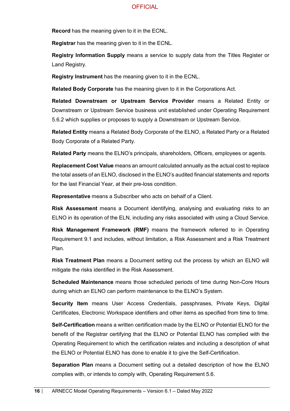**Record** has the meaning given to it in the ECNL.

**Registrar** has the meaning given to it in the ECNL.

**Registry Information Supply** means a service to supply data from the Titles Register or Land Registry.

**Registry Instrument** has the meaning given to it in the ECNL.

**Related Body Corporate** has the meaning given to it in the Corporations Act.

**Related Downstream or Upstream Service Provider** means a Related Entity or Downstream or Upstream Service business unit established under Operating Requirement 5.6.2 which supplies or proposes to supply a Downstream or Upstream Service.

**Related Entity** means a Related Body Corporate of the ELNO, a Related Party or a Related Body Corporate of a Related Party.

**Related Party** means the ELNO's principals, shareholders, Officers, employees or agents.

**Replacement Cost Value** means an amount calculated annually as the actual cost to replace the total assets of an ELNO, disclosed in the ELNO's audited financial statements and reports for the last Financial Year, at their pre-loss condition.

**Representative** means a Subscriber who acts on behalf of a Client.

**Risk Assessment** means a Document identifying, analysing and evaluating risks to an ELNO in its operation of the ELN, including any risks associated with using a Cloud Service.

**Risk Management Framework (RMF)** means the framework referred to in Operating Requirement 9.1 and includes, without limitation, a Risk Assessment and a Risk Treatment Plan.

**Risk Treatment Plan** means a Document setting out the process by which an ELNO will mitigate the risks identified in the Risk Assessment.

**Scheduled Maintenance** means those scheduled periods of time during Non-Core Hours during which an ELNO can perform maintenance to the ELNO's System.

**Security Item** means User Access Credentials, passphrases, Private Keys, Digital Certificates, Electronic Workspace identifiers and other items as specified from time to time.

**Self-Certification** means a written certification made by the ELNO or Potential ELNO for the benefit of the Registrar certifying that the ELNO or Potential ELNO has complied with the Operating Requirement to which the certification relates and including a description of what the ELNO or Potential ELNO has done to enable it to give the Self-Certification.

**Separation Plan** means a Document setting out a detailed description of how the ELNO complies with, or intends to comply with, Operating Requirement 5.6.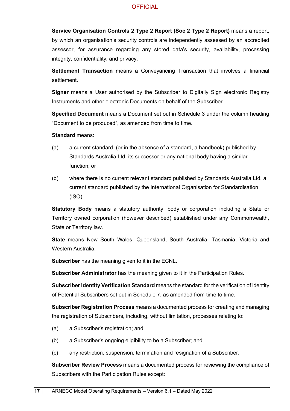**Service Organisation Controls 2 Type 2 Report (Soc 2 Type 2 Report)** means a report, by which an organisation's security controls are independently assessed by an accredited assessor, for assurance regarding any stored data's security, availability, processing integrity, confidentiality, and privacy.

**Settlement Transaction** means a Conveyancing Transaction that involves a financial settlement.

**Signer** means a User authorised by the Subscriber to Digitally Sign electronic Registry Instruments and other electronic Documents on behalf of the Subscriber.

**Specified Document** means a Document set out in Schedule 3 under the column heading "Document to be produced", as amended from time to time.

**Standard** means:

- (a) a current standard, (or in the absence of a standard, a handbook) published by Standards Australia Ltd, its successor or any national body having a similar function; or
- (b) where there is no current relevant standard published by Standards Australia Ltd, a current standard published by the International Organisation for Standardisation (ISO).

**Statutory Body** means a statutory authority, body or corporation including a State or Territory owned corporation (however described) established under any Commonwealth, State or Territory law.

**State** means New South Wales, Queensland, South Australia, Tasmania, Victoria and Western Australia.

**Subscriber** has the meaning given to it in the ECNL.

**Subscriber Administrator** has the meaning given to it in the Participation Rules.

**Subscriber Identity Verification Standard** means the standard for the verification of identity of Potential Subscribers set out in Schedule 7, as amended from time to time.

**Subscriber Registration Process** means a documented process for creating and managing the registration of Subscribers, including, without limitation, processes relating to:

- (a) a Subscriber's registration; and
- (b) a Subscriber's ongoing eligibility to be a Subscriber; and
- (c) any restriction, suspension, termination and resignation of a Subscriber.

**Subscriber Review Process** means a documented process for reviewing the compliance of Subscribers with the Participation Rules except: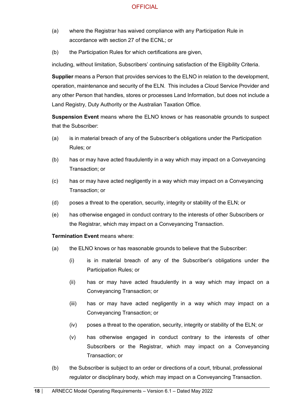- (a) where the Registrar has waived compliance with any Participation Rule in accordance with section 27 of the ECNL; or
- (b) the Participation Rules for which certifications are given,

including, without limitation, Subscribers' continuing satisfaction of the Eligibility Criteria.

**Supplier** means a Person that provides services to the ELNO in relation to the development, operation, maintenance and security of the ELN. This includes a Cloud Service Provider and any other Person that handles, stores or processes Land Information, but does not include a Land Registry, Duty Authority or the Australian Taxation Office.

**Suspension Event** means where the ELNO knows or has reasonable grounds to suspect that the Subscriber:

- (a) is in material breach of any of the Subscriber's obligations under the Participation Rules; or
- (b) has or may have acted fraudulently in a way which may impact on a Conveyancing Transaction; or
- (c) has or may have acted negligently in a way which may impact on a Conveyancing Transaction; or
- (d) poses a threat to the operation, security, integrity or stability of the ELN; or
- (e) has otherwise engaged in conduct contrary to the interests of other Subscribers or the Registrar, which may impact on a Conveyancing Transaction.

#### **Termination Event means where:**

- (a) the ELNO knows or has reasonable grounds to believe that the Subscriber:
	- (i) is in material breach of any of the Subscriber's obligations under the Participation Rules; or
	- (ii) has or may have acted fraudulently in a way which may impact on a Conveyancing Transaction; or
	- (iii) has or may have acted negligently in a way which may impact on a Conveyancing Transaction; or
	- (iv) poses a threat to the operation, security, integrity or stability of the ELN; or
	- (v) has otherwise engaged in conduct contrary to the interests of other Subscribers or the Registrar, which may impact on a Conveyancing Transaction; or
- (b) the Subscriber is subject to an order or directions of a court, tribunal, professional regulator or disciplinary body, which may impact on a Conveyancing Transaction.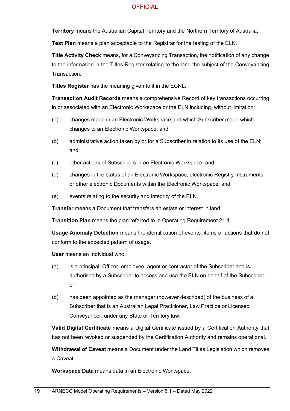**Territory** means the Australian Capital Territory and the Northern Territory of Australia.

**Test Plan** means a plan acceptable to the Registrar for the testing of the ELN.

**Title Activity Check** means, for a Conveyancing Transaction, the notification of any change to the information in the Titles Register relating to the land the subject of the Conveyancing **Transaction** 

**Titles Register** has the meaning given to it in the ECNL.

**Transaction Audit Records** means a comprehensive Record of key transactions occurring in or associated with an Electronic Workspace or the ELN including, without limitation:

- (a) changes made in an Electronic Workspace and which Subscriber made which changes to an Electronic Workspace; and
- (b) administrative action taken by or for a Subscriber in relation to its use of the ELN; and
- (c) other actions of Subscribers in an Electronic Workspace; and
- (d) changes in the status of an Electronic Workspace, electronic Registry Instruments or other electronic Documents within the Electronic Workspace; and
- (e) events relating to the security and integrity of the ELN.

**Transfer** means a Document that transfers an estate or interest in land.

**Transition Plan** means the plan referred to in Operating Requirement 21.1.

**Usage Anomaly Detection** means the identification of events, items or actions that do not conform to the expected pattern of usage.

**User** means an Individual who:

- (a) is a principal, Officer, employee, agent or contractor of the Subscriber and is authorised by a Subscriber to access and use the ELN on behalf of the Subscriber; or
- (b) has been appointed as the manager (however described) of the business of a Subscriber that is an Australian Legal Practitioner, Law Practice or Licensed Conveyancer, under any State or Territory law.

**Valid Digital Certificate** means a Digital Certificate issued by a Certification Authority that has not been revoked or suspended by the Certification Authority and remains operational.

**Withdrawal of Caveat** means a Document under the Land Titles Legislation which removes a Caveat.

**Workspace Data** means data in an Electronic Workspace.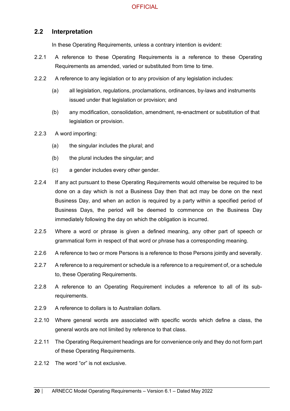## <span id="page-19-0"></span>**2.2 Interpretation**

In these Operating Requirements, unless a contrary intention is evident:

- 2.2.1 A reference to these Operating Requirements is a reference to these Operating Requirements as amended, varied or substituted from time to time.
- 2.2.2 A reference to any legislation or to any provision of any legislation includes:
	- (a) all legislation, regulations, proclamations, ordinances, by-laws and instruments issued under that legislation or provision; and
	- (b) any modification, consolidation, amendment, re-enactment or substitution of that legislation or provision.
- 2.2.3 A word importing:
	- (a) the singular includes the plural; and
	- (b) the plural includes the singular; and
	- (c) a gender includes every other gender.
- 2.2.4 If any act pursuant to these Operating Requirements would otherwise be required to be done on a day which is not a Business Day then that act may be done on the next Business Day, and when an action is required by a party within a specified period of Business Days, the period will be deemed to commence on the Business Day immediately following the day on which the obligation is incurred.
- 2.2.5 Where a word or phrase is given a defined meaning, any other part of speech or grammatical form in respect of that word or phrase has a corresponding meaning.
- 2.2.6 A reference to two or more Persons is a reference to those Persons jointly and severally.
- 2.2.7 A reference to a requirement or schedule is a reference to a requirement of, or a schedule to, these Operating Requirements.
- 2.2.8 A reference to an Operating Requirement includes a reference to all of its subrequirements.
- 2.2.9 A reference to dollars is to Australian dollars.
- 2.2.10 Where general words are associated with specific words which define a class, the general words are not limited by reference to that class.
- 2.2.11 The Operating Requirement headings are for convenience only and they do not form part of these Operating Requirements.
- 2.2.12 The word "or" is not exclusive.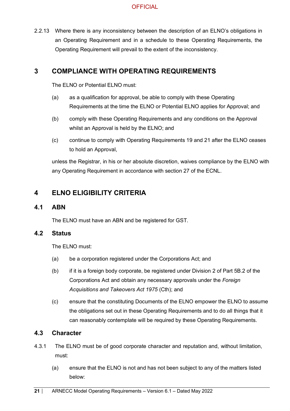2.2.13 Where there is any inconsistency between the description of an ELNO's obligations in an Operating Requirement and in a schedule to these Operating Requirements, the Operating Requirement will prevail to the extent of the inconsistency.

## <span id="page-20-0"></span>**3 COMPLIANCE WITH OPERATING REQUIREMENTS**

The FLNO or Potential FLNO must:

- (a) as a qualification for approval, be able to comply with these Operating Requirements at the time the ELNO or Potential ELNO applies for Approval; and
- (b) comply with these Operating Requirements and any conditions on the Approval whilst an Approval is held by the ELNO; and
- (c) continue to comply with Operating Requirements 19 and 21 after the ELNO ceases to hold an Approval,

unless the Registrar, in his or her absolute discretion, waives compliance by the ELNO with any Operating Requirement in accordance with section 27 of the ECNL.

## <span id="page-20-1"></span>**4 ELNO ELIGIBILITY CRITERIA**

#### <span id="page-20-2"></span>**4.1 ABN**

The ELNO must have an ABN and be registered for GST.

### <span id="page-20-3"></span>**4.2 Status**

The ELNO must:

- (a) be a corporation registered under the Corporations Act; and
- (b) if it is a foreign body corporate, be registered under Division 2 of Part 5B.2 of the Corporations Act and obtain any necessary approvals under the *Foreign Acquisitions and Takeovers Act 1975* (Cth); and
- (c) ensure that the constituting Documents of the ELNO empower the ELNO to assume the obligations set out in these Operating Requirements and to do all things that it can reasonably contemplate will be required by these Operating Requirements.

#### <span id="page-20-4"></span>**4.3 Character**

- 4.3.1 The ELNO must be of good corporate character and reputation and, without limitation, must:
	- (a) ensure that the ELNO is not and has not been subject to any of the matters listed below: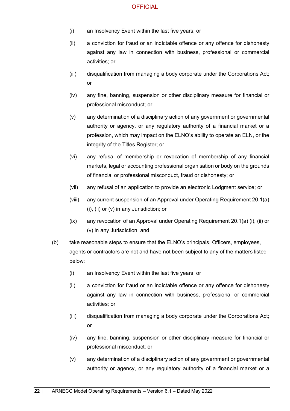- (i) an Insolvency Event within the last five years; or
- (ii) a conviction for fraud or an indictable offence or any offence for dishonesty against any law in connection with business, professional or commercial activities; or
- (iii) disqualification from managing a body corporate under the Corporations Act; or
- (iv) any fine, banning, suspension or other disciplinary measure for financial or professional misconduct; or
- (v) any determination of a disciplinary action of any government or governmental authority or agency, or any regulatory authority of a financial market or a profession, which may impact on the ELNO's ability to operate an ELN, or the integrity of the Titles Register; or
- (vi) any refusal of membership or revocation of membership of any financial markets, legal or accounting professional organisation or body on the grounds of financial or professional misconduct, fraud or dishonesty; or
- (vii) any refusal of an application to provide an electronic Lodgment service; or
- (viii) any current suspension of an Approval under Operating Requirement 20.1(a) (i), (ii) or (v) in any Jurisdiction; or
- (ix) any revocation of an Approval under Operating Requirement 20.1(a) (i), (ii) or (v) in any Jurisdiction; and
- (b) take reasonable steps to ensure that the ELNO's principals, Officers, employees, agents or contractors are not and have not been subject to any of the matters listed below:
	- (i) an Insolvency Event within the last five years; or
	- (ii) a conviction for fraud or an indictable offence or any offence for dishonesty against any law in connection with business, professional or commercial activities; or
	- (iii) disqualification from managing a body corporate under the Corporations Act; or
	- (iv) any fine, banning, suspension or other disciplinary measure for financial or professional misconduct; or
	- (v) any determination of a disciplinary action of any government or governmental authority or agency, or any regulatory authority of a financial market or a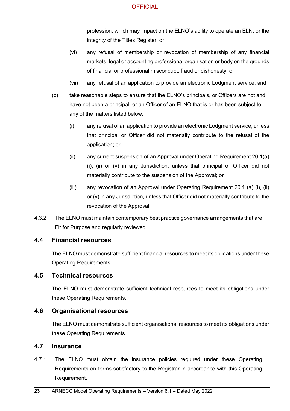profession, which may impact on the ELNO's ability to operate an ELN, or the integrity of the Titles Register; or

- (vi) any refusal of membership or revocation of membership of any financial markets, legal or accounting professional organisation or body on the grounds of financial or professional misconduct, fraud or dishonesty; or
- (vii) any refusal of an application to provide an electronic Lodgment service; and
- (c) take reasonable steps to ensure that the ELNO's principals, or Officers are not and have not been a principal, or an Officer of an ELNO that is or has been subject to any of the matters listed below:
	- (i) any refusal of an application to provide an electronic Lodgment service, unless that principal or Officer did not materially contribute to the refusal of the application; or
	- (ii) any current suspension of an Approval under Operating Requirement 20.1(a) (i), (ii) or (v) in any Jurisdiction, unless that principal or Officer did not materially contribute to the suspension of the Approval; or
	- (iii) any revocation of an Approval under Operating Requirement 20.1 (a) (i), (ii) or (v) in any Jurisdiction, unless that Officer did not materially contribute to the revocation of the Approval.
- 4.3.2 The ELNO must maintain contemporary best practice governance arrangements that are Fit for Purpose and regularly reviewed.

#### <span id="page-22-0"></span>**4.4 Financial resources**

The ELNO must demonstrate sufficient financial resources to meet its obligations under these Operating Requirements.

#### <span id="page-22-1"></span>**4.5 Technical resources**

The ELNO must demonstrate sufficient technical resources to meet its obligations under these Operating Requirements.

#### <span id="page-22-2"></span>**4.6 Organisational resources**

The ELNO must demonstrate sufficient organisational resources to meet its obligations under these Operating Requirements.

#### <span id="page-22-3"></span>**4.7 Insurance**

4.7.1 The ELNO must obtain the insurance policies required under these Operating Requirements on terms satisfactory to the Registrar in accordance with this Operating Requirement.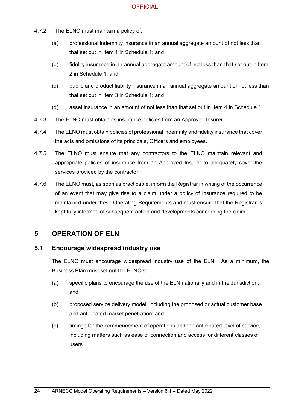- 4.7.2 The ELNO must maintain a policy of:
	- (a) professional indemnity insurance in an annual aggregate amount of not less than that set out in Item 1 in Schedule 1; and
	- (b) fidelity insurance in an annual aggregate amount of not less than that set out in Item 2 in Schedule 1; and
	- (c) public and product liability insurance in an annual aggregate amount of not less than that set out in Item 3 in Schedule 1; and
	- (d) asset insurance in an amount of not less than that set out in Item 4 in Schedule 1.
- 4.7.3 The ELNO must obtain its insurance policies from an Approved Insurer.
- 4.7.4 The ELNO must obtain policies of professional indemnity and fidelity insurance that cover the acts and omissions of its principals, Officers and employees.
- 4.7.5 The ELNO must ensure that any contractors to the ELNO maintain relevant and appropriate policies of insurance from an Approved Insurer to adequately cover the services provided by the contractor.
- 4.7.6 The ELNO must, as soon as practicable, inform the Registrar in writing of the occurrence of an event that may give rise to a claim under a policy of insurance required to be maintained under these Operating Requirements and must ensure that the Registrar is kept fully informed of subsequent action and developments concerning the claim.

## <span id="page-23-0"></span>**5 OPERATION OF ELN**

#### <span id="page-23-1"></span>**5.1 Encourage widespread industry use**

The ELNO must encourage widespread industry use of the ELN. As a minimum, the Business Plan must set out the ELNO's:

- (a) specific plans to encourage the use of the ELN nationally and in the Jurisdiction; and
- (b) proposed service delivery model, including the proposed or actual customer base and anticipated market penetration; and
- (c) timings for the commencement of operations and the anticipated level of service, including matters such as ease of connection and access for different classes of users.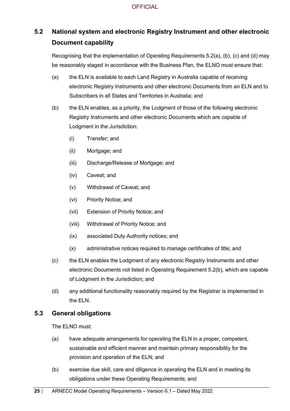# <span id="page-24-0"></span>**5.2 National system and electronic Registry Instrument and other electronic Document capability**

Recognising that the implementation of Operating Requirements 5.2(a), (b), (c) and (d) may be reasonably staged in accordance with the Business Plan, the ELNO must ensure that:

- (a) the ELN is available to each Land Registry in Australia capable of receiving electronic Registry Instruments and other electronic Documents from an ELN and to Subscribers in all States and Territories in Australia; and
- (b) the ELN enables, as a priority, the Lodgment of those of the following electronic Registry Instruments and other electronic Documents which are capable of Lodgment in the Jurisdiction:
	- (i) Transfer; and
	- (ii) Mortgage; and
	- (iii) Discharge/Release of Mortgage; and
	- (iv) Caveat; and
	- (v) Withdrawal of Caveat; and
	- (vi) Priority Notice; and
	- (vii) Extension of Priority Notice; and
	- (viii) Withdrawal of Priority Notice; and
	- (ix) associated Duty Authority notices; and
	- (x) administrative notices required to manage certificates of title; and
- (c) the ELN enables the Lodgment of any electronic Registry Instruments and other electronic Documents not listed in Operating Requirement 5.2(b), which are capable of Lodgment in the Jurisdiction; and
- (d) any additional functionality reasonably required by the Registrar is implemented in the ELN.

## <span id="page-24-1"></span>**5.3 General obligations**

The ELNO must:

- (a) have adequate arrangements for operating the ELN in a proper, competent, sustainable and efficient manner and maintain primary responsibility for the provision and operation of the ELN; and
- (b) exercise due skill, care and diligence in operating the ELN and in meeting its obligations under these Operating Requirements; and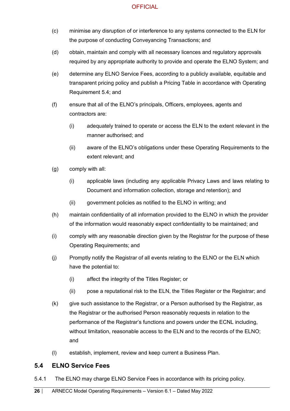- (c) minimise any disruption of or interference to any systems connected to the ELN for the purpose of conducting Conveyancing Transactions; and
- (d) obtain, maintain and comply with all necessary licences and regulatory approvals required by any appropriate authority to provide and operate the ELNO System; and
- (e) determine any ELNO Service Fees, according to a publicly available, equitable and transparent pricing policy and publish a Pricing Table in accordance with Operating Requirement [5.4;](#page-25-0) and
- (f) ensure that all of the ELNO's principals, Officers, employees, agents and contractors are:
	- (i) adequately trained to operate or access the ELN to the extent relevant in the manner authorised; and
	- (ii) aware of the ELNO's obligations under these Operating Requirements to the extent relevant; and
- (g) comply with all:
	- (i) applicable laws (including any applicable Privacy Laws and laws relating to Document and information collection, storage and retention); and
	- (ii) government policies as notified to the ELNO in writing; and
- (h) maintain confidentiality of all information provided to the ELNO in which the provider of the information would reasonably expect confidentiality to be maintained; and
- (i) comply with any reasonable direction given by the Registrar for the purpose of these Operating Requirements; and
- (j) Promptly notify the Registrar of all events relating to the ELNO or the ELN which have the potential to:
	- (i) affect the integrity of the Titles Register; or
	- (ii) pose a reputational risk to the ELN, the Titles Register or the Registrar; and
- (k) give such assistance to the Registrar, or a Person authorised by the Registrar, as the Registrar or the authorised Person reasonably requests in relation to the performance of the Registrar's functions and powers under the ECNL including, without limitation, reasonable access to the ELN and to the records of the ELNO; and
- (l) establish, implement, review and keep current a Business Plan.

## <span id="page-25-0"></span>**5.4 ELNO Service Fees**

5.4.1 The ELNO may charge ELNO Service Fees in accordance with its pricing policy.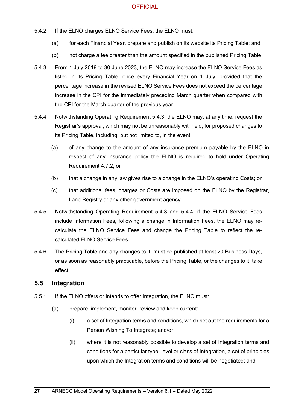- 5.4.2 If the ELNO charges ELNO Service Fees, the ELNO must:
	- (a) for each Financial Year, prepare and publish on its website its Pricing Table; and
	- (b) not charge a fee greater than the amount specified in the published Pricing Table.
- 5.4.3 From 1 July 2019 to 30 June 2023, the ELNO may increase the ELNO Service Fees as listed in its Pricing Table, once every Financial Year on 1 July, provided that the percentage increase in the revised ELNO Service Fees does not exceed the percentage increase in the CPI for the immediately preceding March quarter when compared with the CPI for the March quarter of the previous year.
- 5.4.4 Notwithstanding Operating Requirement 5.4.3, the ELNO may, at any time, request the Registrar's approval, which may not be unreasonably withheld, for proposed changes to its Pricing Table, including, but not limited to, in the event:
	- (a) of any change to the amount of any insurance premium payable by the ELNO in respect of any insurance policy the ELNO is required to hold under Operating Requirement 4.7.2; or
	- (b) that a change in any law gives rise to a change in the ELNO's operating Costs; or
	- (c) that additional fees, charges or Costs are imposed on the ELNO by the Registrar, Land Registry or any other government agency.
- 5.4.5 Notwithstanding Operating Requirement 5.4.3 and 5.4.4, if the ELNO Service Fees include Information Fees, following a change in Information Fees, the ELNO may recalculate the ELNO Service Fees and change the Pricing Table to reflect the recalculated ELNO Service Fees.
- 5.4.6 The Pricing Table and any changes to it, must be published at least 20 Business Days, or as soon as reasonably practicable, before the Pricing Table, or the changes to it, take effect.

#### <span id="page-26-0"></span>**5.5 Integration**

- 5.5.1 If the ELNO offers or intends to offer Integration, the ELNO must:
	- (a) prepare, implement, monitor, review and keep current:
		- (i) a set of Integration terms and conditions, which set out the requirements for a Person Wishing To Integrate; and/or
		- (ii) where it is not reasonably possible to develop a set of Integration terms and conditions for a particular type, level or class of Integration, a set of principles upon which the Integration terms and conditions will be negotiated; and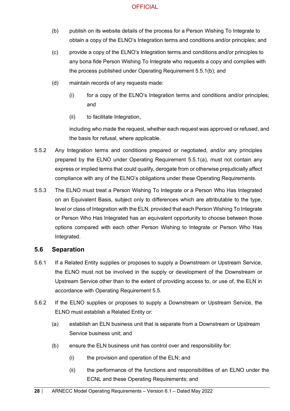- (b) publish on its website details of the process for a Person Wishing To Integrate to obtain a copy of the ELNO's Integration terms and conditions and/or principles; and
- (c) provide a copy of the ELNO's Integration terms and conditions and/or principles to any bona fide Person Wishing To Integrate who requests a copy and complies with the process published under Operating Requirement 5.5.1(b); and
- (d) maintain records of any requests made:
	- (i) for a copy of the ELNO's Integration terms and conditions and/or principles; and
	- (ii) to facilitate Integration,

including who made the request, whether each request was approved or refused, and the basis for refusal, where applicable.

- 5.5.2 Any Integration terms and conditions prepared or negotiated, and/or any principles prepared by the ELNO under Operating Requirement 5.5.1(a), must not contain any express or implied terms that could qualify, derogate from or otherwise prejudicially affect compliance with any of the ELNO's obligations under these Operating Requirements.
- 5.5.3 The ELNO must treat a Person Wishing To Integrate or a Person Who Has Integrated on an Equivalent Basis, subject only to differences which are attributable to the type, level or class of Integration with the ELN, provided that each Person Wishing To Integrate or Person Who Has Integrated has an equivalent opportunity to choose between those options compared with each other Person Wishing to Integrate or Person Who Has Integrated.

#### <span id="page-27-0"></span>**5.6 Separation**

- 5.6.1 If a Related Entity supplies or proposes to supply a Downstream or Upstream Service, the ELNO must not be involved in the supply or development of the Downstream or Upstream Service other than to the extent of providing access to, or use of, the ELN in accordance with Operating Requirement 5.5.
- 5.6.2 If the ELNO supplies or proposes to supply a Downstream or Upstream Service, the ELNO must establish a Related Entity or:
	- (a) establish an ELN business unit that is separate from a Downstream or Upstream Service business unit; and
	- (b) ensure the ELN business unit has control over and responsibility for:
		- (i) the provision and operation of the ELN; and
		- (ii) the performance of the functions and responsibilities of an ELNO under the ECNL and these Operating Requirements; and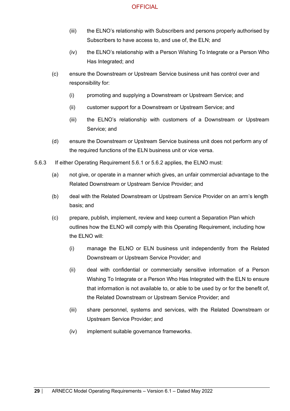- (iii) the ELNO's relationship with Subscribers and persons properly authorised by Subscribers to have access to, and use of, the ELN; and
- (iv) the ELNO's relationship with a Person Wishing To Integrate or a Person Who Has Integrated; and
- (c) ensure the Downstream or Upstream Service business unit has control over and responsibility for:
	- (i) promoting and supplying a Downstream or Upstream Service; and
	- (ii) customer support for a Downstream or Upstream Service; and
	- (iii) the ELNO's relationship with customers of a Downstream or Upstream Service; and
- (d) ensure the Downstream or Upstream Service business unit does not perform any of the required functions of the ELN business unit or vice versa.
- 5.6.3 If either Operating Requirement 5.6.1 or 5.6.2 applies, the ELNO must:
	- (a) not give, or operate in a manner which gives, an unfair commercial advantage to the Related Downstream or Upstream Service Provider; and
	- (b) deal with the Related Downstream or Upstream Service Provider on an arm's length basis; and
	- (c) prepare, publish, implement, review and keep current a Separation Plan which outlines how the ELNO will comply with this Operating Requirement, including how the ELNO will:
		- (i) manage the ELNO or ELN business unit independently from the Related Downstream or Upstream Service Provider; and
		- (ii) deal with confidential or commercially sensitive information of a Person Wishing To Integrate or a Person Who Has Integrated with the ELN to ensure that information is not available to, or able to be used by or for the benefit of, the Related Downstream or Upstream Service Provider; and
		- (iii) share personnel, systems and services, with the Related Downstream or Upstream Service Provider; and
		- (iv) implement suitable governance frameworks.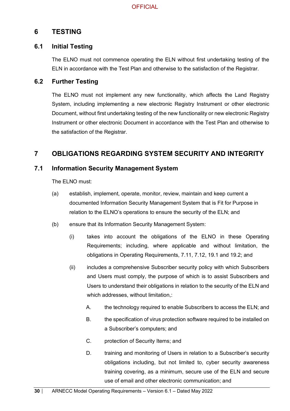## <span id="page-29-0"></span>**6 TESTING**

## <span id="page-29-1"></span>**6.1 Initial Testing**

The ELNO must not commence operating the ELN without first undertaking testing of the ELN in accordance with the Test Plan and otherwise to the satisfaction of the Registrar.

## <span id="page-29-2"></span>**6.2 Further Testing**

The ELNO must not implement any new functionality, which affects the Land Registry System, including implementing a new electronic Registry Instrument or other electronic Document, without first undertaking testing of the new functionality or new electronic Registry Instrument or other electronic Document in accordance with the Test Plan and otherwise to the satisfaction of the Registrar.

## <span id="page-29-3"></span>**7 OBLIGATIONS REGARDING SYSTEM SECURITY AND INTEGRITY**

## <span id="page-29-4"></span>**7.1 Information Security Management System**

The ELNO must:

- (a) establish, implement, operate, monitor, review, maintain and keep current a documented Information Security Management System that is Fit for Purpose in relation to the ELNO's operations to ensure the security of the ELN; and
- (b) ensure that its Information Security Management System:
	- (i) takes into account the obligations of the ELNO in these Operating Requirements; including, where applicable and without limitation, the obligations in Operating Requirements, 7.11, 7.12, 19.1 and 19.2; and
	- (ii) includes a comprehensive Subscriber security policy with which Subscribers and Users must comply, the purpose of which is to assist Subscribers and Users to understand their obligations in relation to the security of the ELN and which addresses, without limitation,:
		- A. the technology required to enable Subscribers to access the ELN; and
		- B. the specification of virus protection software required to be installed on a Subscriber's computers; and
		- C. protection of Security Items; and
		- D. training and monitoring of Users in relation to a Subscriber's security obligations including, but not limited to, cyber security awareness training covering, as a minimum, secure use of the ELN and secure use of email and other electronic communication; and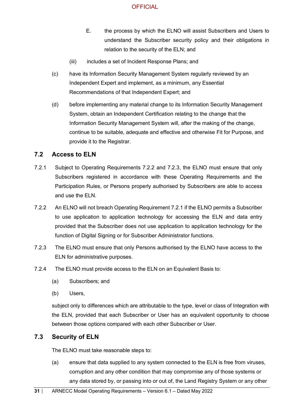- E. the process by which the ELNO will assist Subscribers and Users to understand the Subscriber security policy and their obligations in relation to the security of the ELN; and
- (iii) includes a set of Incident Response Plans; and
- (c) have its Information Security Management System regularly reviewed by an Independent Expert and implement, as a minimum, any Essential Recommendations of that Independent Expert; and
- (d) before implementing any material change to its Information Security Management System, obtain an Independent Certification relating to the change that the Information Security Management System will, after the making of the change, continue to be suitable, adequate and effective and otherwise Fit for Purpose, and provide it to the Registrar.

#### <span id="page-30-0"></span>**7.2 Access to ELN**

- 7.2.1 Subject to Operating Requirements 7.2.2 and 7.2.3, the ELNO must ensure that only Subscribers registered in accordance with these Operating Requirements and the Participation Rules, or Persons properly authorised by Subscribers are able to access and use the ELN.
- 7.2.2 An ELNO will not breach Operating Requirement 7.2.1 if the ELNO permits a Subscriber to use application to application technology for accessing the ELN and data entry provided that the Subscriber does not use application to application technology for the function of Digital Signing or for Subscriber Administrator functions.
- 7.2.3 The ELNO must ensure that only Persons authorised by the ELNO have access to the ELN for administrative purposes.
- 7.2.4 The ELNO must provide access to the ELN on an Equivalent Basis to:
	- (a) Subscribers; and
	- (b) Users,

subject only to differences which are attributable to the type, level or class of Integration with the ELN, provided that each Subscriber or User has an equivalent opportunity to choose between those options compared with each other Subscriber or User.

## <span id="page-30-1"></span>**7.3 Security of ELN**

The ELNO must take reasonable steps to:

(a) ensure that data supplied to any system connected to the ELN is free from viruses, corruption and any other condition that may compromise any of those systems or any data stored by, or passing into or out of, the Land Registry System or any other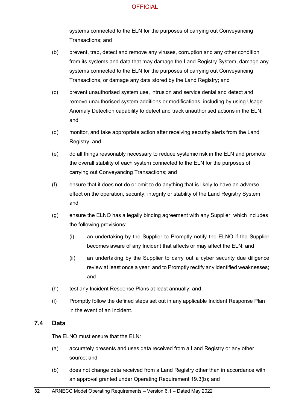systems connected to the ELN for the purposes of carrying out Conveyancing Transactions; and

- (b) prevent, trap, detect and remove any viruses, corruption and any other condition from its systems and data that may damage the Land Registry System, damage any systems connected to the ELN for the purposes of carrying out Conveyancing Transactions, or damage any data stored by the Land Registry; and
- (c) prevent unauthorised system use, intrusion and service denial and detect and remove unauthorised system additions or modifications, including by using Usage Anomaly Detection capability to detect and track unauthorised actions in the ELN; and
- (d) monitor, and take appropriate action after receiving security alerts from the Land Registry; and
- (e) do all things reasonably necessary to reduce systemic risk in the ELN and promote the overall stability of each system connected to the ELN for the purposes of carrying out Conveyancing Transactions; and
- (f) ensure that it does not do or omit to do anything that is likely to have an adverse effect on the operation, security, integrity or stability of the Land Registry System; and
- (g) ensure the ELNO has a legally binding agreement with any Supplier, which includes the following provisions:
	- (i) an undertaking by the Supplier to Promptly notify the ELNO if the Supplier becomes aware of any Incident that affects or may affect the ELN; and
	- (ii) an undertaking by the Supplier to carry out a cyber security due diligence review at least once a year, and to Promptly rectify any identified weaknesses; and
- (h) test any Incident Response Plans at least annually; and
- (i) Promptly follow the defined steps set out in any applicable Incident Response Plan in the event of an Incident.

#### <span id="page-31-0"></span>**7.4 Data**

The ELNO must ensure that the ELN:

- (a) accurately presents and uses data received from a Land Registry or any other source; and
- (b) does not change data received from a Land Registry other than in accordance with an approval granted under Operating Requirement 19.3(b); and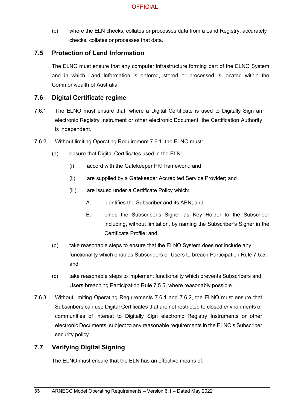(c) where the ELN checks, collates or processes data from a Land Registry, accurately checks, collates or processes that data.

## <span id="page-32-0"></span>**7.5 Protection of Land Information**

The ELNO must ensure that any computer infrastructure forming part of the ELNO System and in which Land Information is entered, stored or processed is located within the Commonwealth of Australia.

#### <span id="page-32-1"></span>**7.6 Digital Certificate regime**

- 7.6.1 The ELNO must ensure that, where a Digital Certificate is used to Digitally Sign an electronic Registry Instrument or other electronic Document, the Certification Authority is independent.
- 7.6.2 Without limiting Operating Requirement 7.6.1, the ELNO must:
	- (a) ensure that Digital Certificates used in the ELN:
		- (i) accord with the Gatekeeper PKI framework; and
		- (ii) are supplied by a Gatekeeper Accredited Service Provider; and
		- (iii) are issued under a Certificate Policy which:
			- A. identifies the Subscriber and its ABN; and
			- B. binds the Subscriber's Signer as Key Holder to the Subscriber including, without limitation, by naming the Subscriber's Signer in the Certificate Profile; and
	- (b) take reasonable steps to ensure that the ELNO System does not include any functionality which enables Subscribers or Users to breach Participation Rule 7.5.5; and
	- (c) take reasonable steps to implement functionality which prevents Subscribers and Users breaching Participation Rule 7.5.5, where reasonably possible.
- 7.6.3 Without limiting Operating Requirements 7.6.1 and 7.6.2, the ELNO must ensure that Subscribers can use Digital Certificates that are not restricted to closed environments or communities of interest to Digitally Sign electronic Registry Instruments or other electronic Documents, subject to any reasonable requirements in the ELNO's Subscriber security policy.

## <span id="page-32-2"></span>**7.7 Verifying Digital Signing**

The ELNO must ensure that the ELN has an effective means of: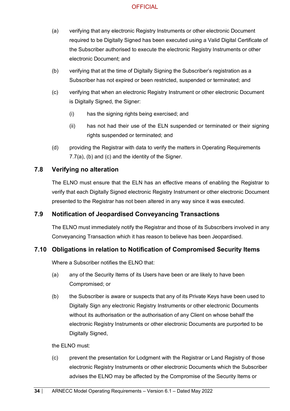- (a) verifying that any electronic Registry Instruments or other electronic Document required to be Digitally Signed has been executed using a Valid Digital Certificate of the Subscriber authorised to execute the electronic Registry Instruments or other electronic Document; and
- (b) verifying that at the time of Digitally Signing the Subscriber's registration as a Subscriber has not expired or been restricted, suspended or terminated; and
- (c) verifying that when an electronic Registry Instrument or other electronic Document is Digitally Signed, the Signer:
	- (i) has the signing rights being exercised; and
	- (ii) has not had their use of the ELN suspended or terminated or their signing rights suspended or terminated; and
- (d) providing the Registrar with data to verify the matters in Operating Requirements 7.7(a), (b) and (c) and the identity of the Signer.

## <span id="page-33-0"></span>**7.8 Verifying no alteration**

The ELNO must ensure that the ELN has an effective means of enabling the Registrar to verify that each Digitally Signed electronic Registry Instrument or other electronic Document presented to the Registrar has not been altered in any way since it was executed.

### <span id="page-33-1"></span>**7.9 Notification of Jeopardised Conveyancing Transactions**

The ELNO must immediately notify the Registrar and those of its Subscribers involved in any Conveyancing Transaction which it has reason to believe has been Jeopardised.

## <span id="page-33-2"></span>**7.10 Obligations in relation to Notification of Compromised Security Items**

Where a Subscriber notifies the ELNO that:

- (a) any of the Security Items of its Users have been or are likely to have been Compromised; or
- (b) the Subscriber is aware or suspects that any of its Private Keys have been used to Digitally Sign any electronic Registry Instruments or other electronic Documents without its authorisation or the authorisation of any Client on whose behalf the electronic Registry Instruments or other electronic Documents are purported to be Digitally Signed,

the ELNO must:

(c) prevent the presentation for Lodgment with the Registrar or Land Registry of those electronic Registry Instruments or other electronic Documents which the Subscriber advises the ELNO may be affected by the Compromise of the Security Items or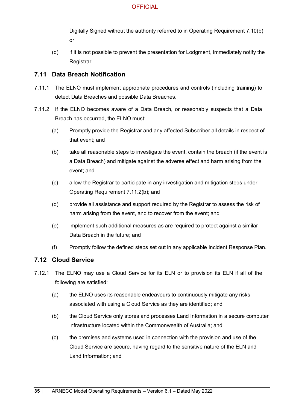Digitally Signed without the authority referred to in Operating Requirement 7.10(b); or

(d) if it is not possible to prevent the presentation for Lodgment, immediately notify the Registrar.

## <span id="page-34-0"></span>**7.11 Data Breach Notification**

- 7.11.1 The ELNO must implement appropriate procedures and controls (including training) to detect Data Breaches and possible Data Breaches.
- 7.11.2 If the ELNO becomes aware of a Data Breach, or reasonably suspects that a Data Breach has occurred, the ELNO must:
	- (a) Promptly provide the Registrar and any affected Subscriber all details in respect of that event; and
	- (b) take all reasonable steps to investigate the event, contain the breach (if the event is a Data Breach) and mitigate against the adverse effect and harm arising from the event; and
	- (c) allow the Registrar to participate in any investigation and mitigation steps under Operating Requirement 7.11.2(b); and
	- (d) provide all assistance and support required by the Registrar to assess the risk of harm arising from the event, and to recover from the event; and
	- (e) implement such additional measures as are required to protect against a similar Data Breach in the future; and
	- (f) Promptly follow the defined steps set out in any applicable Incident Response Plan.

## <span id="page-34-1"></span>**7.12 Cloud Service**

- 7.12.1 The ELNO may use a Cloud Service for its ELN or to provision its ELN if all of the following are satisfied:
	- (a) the ELNO uses its reasonable endeavours to continuously mitigate any risks associated with using a Cloud Service as they are identified; and
	- (b) the Cloud Service only stores and processes Land Information in a secure computer infrastructure located within the Commonwealth of Australia; and
	- (c) the premises and systems used in connection with the provision and use of the Cloud Service are secure, having regard to the sensitive nature of the ELN and Land Information; and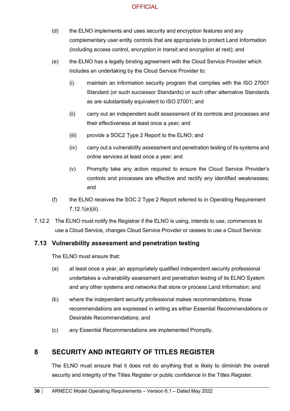- (d) the ELNO implements and uses security and encryption features and any complementary user entity controls that are appropriate to protect Land Information (including access control, encryption in transit and encryption at rest); and
- (e) the ELNO has a legally binding agreement with the Cloud Service Provider which includes an undertaking by the Cloud Service Provider to:
	- (i) maintain an information security program that complies with the ISO 27001 Standard (or such successor Standards) or such other alternative Standards as are substantially equivalent to ISO 27001; and
	- (ii) carry out an independent audit assessment of its controls and processes and their effectiveness at least once a year; and
	- (iii) provide a SOC2 Type 2 Report to the ELNO; and
	- (iv) carry out a vulnerability assessment and penetration testing of its systems and online services at least once a year; and
	- (v) Promptly take any action required to ensure the Cloud Service Provider's controls and processes are effective and rectify any identified weaknesses; and
- (f) the ELNO receives the SOC 2 Type 2 Report referred to in Operating Requirement 7.12.1(e)(iii).
- 7.12.2 The ELNO must notify the Registrar if the ELNO is using, intends to use, commences to use a Cloud Service, changes Cloud Service Provider or ceases to use a Cloud Service.

## <span id="page-35-0"></span>**7.13 Vulnerability assessment and penetration testing**

The ELNO must ensure that:

- (a) at least once a year, an appropriately qualified independent security professional undertakes a vulnerability assessment and penetration testing of its ELNO System and any other systems and networks that store or process Land Information; and
- (b) where the independent security professional makes recommendations, those recommendations are expressed in writing as either Essential Recommendations or Desirable Recommendations; and
- (c) any Essential Recommendations are implemented Promptly.

## <span id="page-35-1"></span>**8 SECURITY AND INTEGRITY OF TITLES REGISTER**

The ELNO must ensure that it does not do anything that is likely to diminish the overall security and integrity of the Titles Register or public confidence in the Titles Register.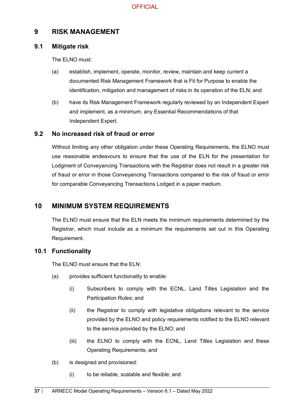## **9 RISK MANAGEMENT**

#### **9.1 Mitigate risk**

The ELNO must:

- (a) establish, implement, operate, monitor, review, maintain and keep current a documented Risk Management Framework that is Fit for Purpose to enable the identification, mitigation and management of risks in its operation of the ELN; and
- (b) have its Risk Management Framework regularly reviewed by an Independent Expert and implement, as a minimum, any Essential Recommendations of that Independent Expert.

### **9.2 No increased risk of fraud or error**

Without limiting any other obligation under these Operating Requirements, the ELNO must use reasonable endeavours to ensure that the use of the ELN for the presentation for Lodgment of Conveyancing Transactions with the Registrar does not result in a greater risk of fraud or error in those Conveyancing Transactions compared to the risk of fraud or error for comparable Conveyancing Transactions Lodged in a paper medium.

## **10 MINIMUM SYSTEM REQUIREMENTS**

The ELNO must ensure that the ELN meets the minimum requirements determined by the Registrar, which must include as a minimum the requirements set out in this Operating Requirement.

### **10.1 Functionality**

The ELNO must ensure that the ELN:

- (a) provides sufficient functionality to enable:
	- (i) Subscribers to comply with the ECNL, Land Titles Legislation and the Participation Rules; and
	- (ii) the Registrar to comply with legislative obligations relevant to the service provided by the ELNO and policy requirements notified to the ELNO relevant to the service provided by the ELNO; and
	- (iii) the ELNO to comply with the ECNL, Land Titles Legislation and these Operating Requirements; and
- (b) is designed and provisioned:
	- (i) to be reliable, scalable and flexible; and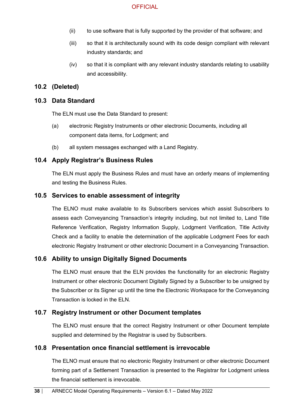- (ii) to use software that is fully supported by the provider of that software; and
- (iii) so that it is architecturally sound with its code design compliant with relevant industry standards; and
- (iv) so that it is compliant with any relevant industry standards relating to usability and accessibility.

#### **10.2 (Deleted)**

#### **10.3 Data Standard**

The ELN must use the Data Standard to present:

- (a) electronic Registry Instruments or other electronic Documents, including all component data items, for Lodgment; and
- (b) all system messages exchanged with a Land Registry.

#### **10.4 Apply Registrar's Business Rules**

The ELN must apply the Business Rules and must have an orderly means of implementing and testing the Business Rules.

#### **10.5 Services to enable assessment of integrity**

The ELNO must make available to its Subscribers services which assist Subscribers to assess each Conveyancing Transaction's integrity including, but not limited to, Land Title Reference Verification, Registry Information Supply, Lodgment Verification, Title Activity Check and a facility to enable the determination of the applicable Lodgment Fees for each electronic Registry Instrument or other electronic Document in a Conveyancing Transaction.

#### **10.6 Ability to unsign Digitally Signed Documents**

The ELNO must ensure that the ELN provides the functionality for an electronic Registry Instrument or other electronic Document Digitally Signed by a Subscriber to be unsigned by the Subscriber or its Signer up until the time the Electronic Workspace for the Conveyancing Transaction is locked in the ELN.

#### **10.7 Registry Instrument or other Document templates**

The ELNO must ensure that the correct Registry Instrument or other Document template supplied and determined by the Registrar is used by Subscribers.

#### **10.8 Presentation once financial settlement is irrevocable**

The ELNO must ensure that no electronic Registry Instrument or other electronic Document forming part of a Settlement Transaction is presented to the Registrar for Lodgment unless the financial settlement is irrevocable.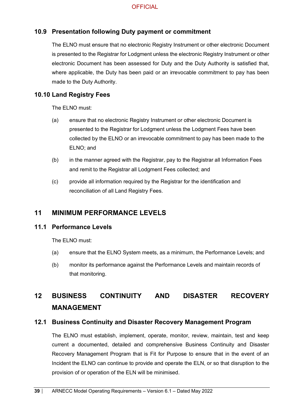### **10.9 Presentation following Duty payment or commitment**

The ELNO must ensure that no electronic Registry Instrument or other electronic Document is presented to the Registrar for Lodgment unless the electronic Registry Instrument or other electronic Document has been assessed for Duty and the Duty Authority is satisfied that, where applicable, the Duty has been paid or an irrevocable commitment to pay has been made to the Duty Authority.

### **10.10 Land Registry Fees**

The ELNO must:

- (a) ensure that no electronic Registry Instrument or other electronic Document is presented to the Registrar for Lodgment unless the Lodgment Fees have been collected by the ELNO or an irrevocable commitment to pay has been made to the ELNO; and
- (b) in the manner agreed with the Registrar, pay to the Registrar all Information Fees and remit to the Registrar all Lodgment Fees collected; and
- (c) provide all information required by the Registrar for the identification and reconciliation of all Land Registry Fees.

## **11 MINIMUM PERFORMANCE LEVELS**

#### **11.1 Performance Levels**

The ELNO must:

- (a) ensure that the ELNO System meets, as a minimum, the Performance Levels; and
- (b) monitor its performance against the Performance Levels and maintain records of that monitoring.

# **12 BUSINESS CONTINUITY AND DISASTER RECOVERY MANAGEMENT**

#### **12.1 Business Continuity and Disaster Recovery Management Program**

The ELNO must establish, implement, operate, monitor, review, maintain, test and keep current a documented, detailed and comprehensive Business Continuity and Disaster Recovery Management Program that is Fit for Purpose to ensure that in the event of an Incident the ELNO can continue to provide and operate the ELN, or so that disruption to the provision of or operation of the ELN will be minimised.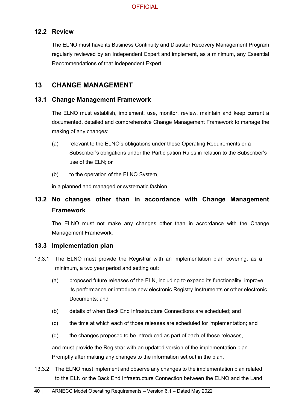### **12.2 Review**

The ELNO must have its Business Continuity and Disaster Recovery Management Program regularly reviewed by an Independent Expert and implement, as a minimum, any Essential Recommendations of that Independent Expert.

### **13 CHANGE MANAGEMENT**

#### **13.1 Change Management Framework**

The ELNO must establish, implement, use, monitor, review, maintain and keep current a documented, detailed and comprehensive Change Management Framework to manage the making of any changes:

- (a) relevant to the ELNO's obligations under these Operating Requirements or a Subscriber's obligations under the Participation Rules in relation to the Subscriber's use of the ELN; or
- (b) to the operation of the ELNO System,

in a planned and managed or systematic fashion.

## **13.2 No changes other than in accordance with Change Management Framework**

The ELNO must not make any changes other than in accordance with the Change Management Framework.

#### **13.3 Implementation plan**

- 13.3.1 The ELNO must provide the Registrar with an implementation plan covering, as a minimum, a two year period and setting out:
	- (a) proposed future releases of the ELN, including to expand its functionality, improve its performance or introduce new electronic Registry Instruments or other electronic Documents; and
	- (b) details of when Back End Infrastructure Connections are scheduled; and
	- (c) the time at which each of those releases are scheduled for implementation; and
	- (d) the changes proposed to be introduced as part of each of those releases,

and must provide the Registrar with an updated version of the implementation plan Promptly after making any changes to the information set out in the plan.

13.3.2 The ELNO must implement and observe any changes to the implementation plan related to the ELN or the Back End Infrastructure Connection between the ELNO and the Land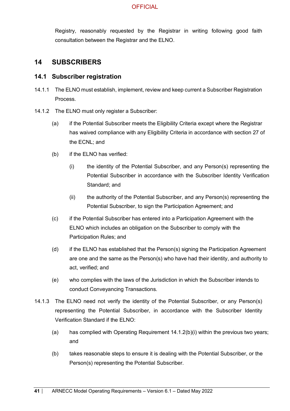Registry, reasonably requested by the Registrar in writing following good faith consultation between the Registrar and the ELNO.

### **14 SUBSCRIBERS**

#### **14.1 Subscriber registration**

- 14.1.1 The ELNO must establish, implement, review and keep current a Subscriber Registration Process.
- 14.1.2 The ELNO must only register a Subscriber:
	- (a) if the Potential Subscriber meets the Eligibility Criteria except where the Registrar has waived compliance with any Eligibility Criteria in accordance with section 27 of the ECNL; and
	- (b) if the ELNO has verified:
		- (i) the identity of the Potential Subscriber, and any Person(s) representing the Potential Subscriber in accordance with the Subscriber Identity Verification Standard; and
		- (ii) the authority of the Potential Subscriber, and any Person(s) representing the Potential Subscriber, to sign the Participation Agreement; and
	- (c) if the Potential Subscriber has entered into a Participation Agreement with the ELNO which includes an obligation on the Subscriber to comply with the Participation Rules; and
	- (d) if the ELNO has established that the Person(s) signing the Participation Agreement are one and the same as the Person(s) who have had their identity, and authority to act, verified; and
	- (e) who complies with the laws of the Jurisdiction in which the Subscriber intends to conduct Conveyancing Transactions.
- 14.1.3 The ELNO need not verify the identity of the Potential Subscriber, or any Person(s) representing the Potential Subscriber, in accordance with the Subscriber Identity Verification Standard if the ELNO:
	- (a) has complied with Operating Requirement 14.1.2(b)(i) within the previous two years; and
	- (b) takes reasonable steps to ensure it is dealing with the Potential Subscriber, or the Person(s) representing the Potential Subscriber.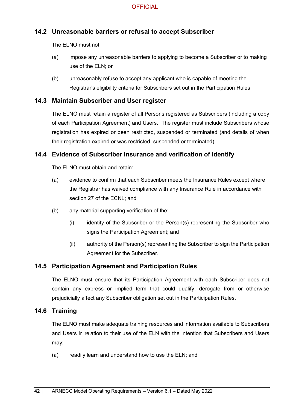### **14.2 Unreasonable barriers or refusal to accept Subscriber**

The ELNO must not:

- (a) impose any unreasonable barriers to applying to become a Subscriber or to making use of the ELN; or
- (b) unreasonably refuse to accept any applicant who is capable of meeting the Registrar's eligibility criteria for Subscribers set out in the Participation Rules.

#### **14.3 Maintain Subscriber and User register**

The ELNO must retain a register of all Persons registered as Subscribers (including a copy of each Participation Agreement) and Users. The register must include Subscribers whose registration has expired or been restricted, suspended or terminated (and details of when their registration expired or was restricted, suspended or terminated).

#### **14.4 Evidence of Subscriber insurance and verification of identify**

The ELNO must obtain and retain:

- (a) evidence to confirm that each Subscriber meets the Insurance Rules except where the Registrar has waived compliance with any Insurance Rule in accordance with section 27 of the ECNL; and
- (b) any material supporting verification of the:
	- (i) identity of the Subscriber or the Person(s) representing the Subscriber who signs the Participation Agreement; and
	- (ii) authority of the Person(s) representing the Subscriber to sign the Participation Agreement for the Subscriber.

#### **14.5 Participation Agreement and Participation Rules**

The ELNO must ensure that its Participation Agreement with each Subscriber does not contain any express or implied term that could qualify, derogate from or otherwise prejudicially affect any Subscriber obligation set out in the Participation Rules.

#### **14.6 Training**

The ELNO must make adequate training resources and information available to Subscribers and Users in relation to their use of the ELN with the intention that Subscribers and Users may:

(a) readily learn and understand how to use the ELN; and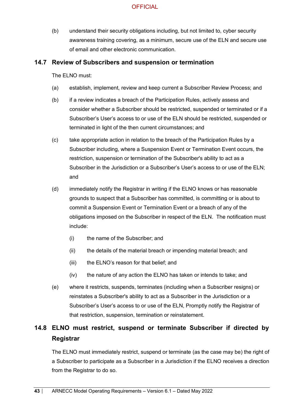(b) understand their security obligations including, but not limited to, cyber security awareness training covering, as a minimum, secure use of the ELN and secure use of email and other electronic communication.

#### **14.7 Review of Subscribers and suspension or termination**

The ELNO must:

- (a) establish, implement, review and keep current a Subscriber Review Process; and
- (b) if a review indicates a breach of the Participation Rules, actively assess and consider whether a Subscriber should be restricted, suspended or terminated or if a Subscriber's User's access to or use of the ELN should be restricted, suspended or terminated in light of the then current circumstances; and
- (c) take appropriate action in relation to the breach of the Participation Rules by a Subscriber including, where a Suspension Event or Termination Event occurs, the restriction, suspension or termination of the Subscriber's ability to act as a Subscriber in the Jurisdiction or a Subscriber's User's access to or use of the ELN; and
- (d) immediately notify the Registrar in writing if the ELNO knows or has reasonable grounds to suspect that a Subscriber has committed, is committing or is about to commit a Suspension Event or Termination Event or a breach of any of the obligations imposed on the Subscriber in respect of the ELN. The notification must include:
	- (i) the name of the Subscriber; and
	- (ii) the details of the material breach or impending material breach; and
	- (iii) the ELNO's reason for that belief; and
	- (iv) the nature of any action the ELNO has taken or intends to take; and
- (e) where it restricts, suspends, terminates (including when a Subscriber resigns) or reinstates a Subscriber's ability to act as a Subscriber in the Jurisdiction or a Subscriber's User's access to or use of the ELN, Promptly notify the Registrar of that restriction, suspension, termination or reinstatement.

# **14.8 ELNO must restrict, suspend or terminate Subscriber if directed by Registrar**

The ELNO must immediately restrict, suspend or terminate (as the case may be) the right of a Subscriber to participate as a Subscriber in a Jurisdiction if the ELNO receives a direction from the Registrar to do so.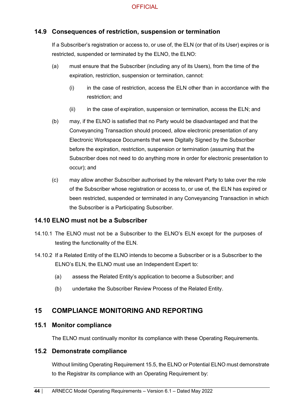#### **14.9 Consequences of restriction, suspension or termination**

If a Subscriber's registration or access to, or use of, the ELN (or that of its User) expires or is restricted, suspended or terminated by the ELNO, the ELNO:

- (a) must ensure that the Subscriber (including any of its Users), from the time of the expiration, restriction, suspension or termination, cannot:
	- (i) in the case of restriction, access the ELN other than in accordance with the restriction; and
	- (ii) in the case of expiration, suspension or termination, access the ELN; and
- (b) may, if the ELNO is satisfied that no Party would be disadvantaged and that the Conveyancing Transaction should proceed, allow electronic presentation of any Electronic Workspace Documents that were Digitally Signed by the Subscriber before the expiration, restriction, suspension or termination (assuming that the Subscriber does not need to do anything more in order for electronic presentation to occur); and
- (c) may allow another Subscriber authorised by the relevant Party to take over the role of the Subscriber whose registration or access to, or use of, the ELN has expired or been restricted, suspended or terminated in any Conveyancing Transaction in which the Subscriber is a Participating Subscriber.

#### **14.10 ELNO must not be a Subscriber**

- 14.10.1 The ELNO must not be a Subscriber to the ELNO's ELN except for the purposes of testing the functionality of the ELN.
- 14.10.2 If a Related Entity of the ELNO intends to become a Subscriber or is a Subscriber to the ELNO's ELN, the ELNO must use an Independent Expert to:
	- (a) assess the Related Entity's application to become a Subscriber; and
	- (b) undertake the Subscriber Review Process of the Related Entity.

## **15 COMPLIANCE MONITORING AND REPORTING**

#### **15.1 Monitor compliance**

The ELNO must continually monitor its compliance with these Operating Requirements.

#### **15.2 Demonstrate compliance**

Without limiting Operating Requirement 15.5, the ELNO or Potential ELNO must demonstrate to the Registrar its compliance with an Operating Requirement by: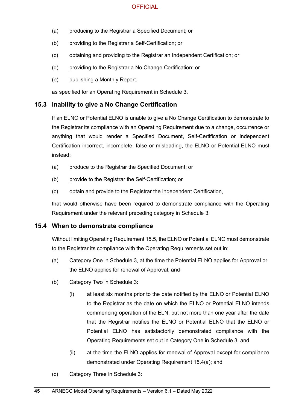- (a) producing to the Registrar a Specified Document; or
- (b) providing to the Registrar a Self-Certification; or
- (c) obtaining and providing to the Registrar an Independent Certification; or
- (d) providing to the Registrar a No Change Certification; or
- (e) publishing a Monthly Report,

as specified for an Operating Requirement in Schedule 3.

#### **15.3 Inability to give a No Change Certification**

If an ELNO or Potential ELNO is unable to give a No Change Certification to demonstrate to the Registrar its compliance with an Operating Requirement due to a change, occurrence or anything that would render a Specified Document, Self-Certification or Independent Certification incorrect, incomplete, false or misleading, the ELNO or Potential ELNO must instead:

- (a) produce to the Registrar the Specified Document; or
- (b) provide to the Registrar the Self-Certification; or
- (c) obtain and provide to the Registrar the Independent Certification,

that would otherwise have been required to demonstrate compliance with the Operating Requirement under the relevant preceding category in Schedule 3.

#### **15.4 When to demonstrate compliance**

Without limiting Operating Requirement 15.5, the ELNO or Potential ELNO must demonstrate to the Registrar its compliance with the Operating Requirements set out in:

- (a) Category One in Schedule 3, at the time the Potential ELNO applies for Approval or the ELNO applies for renewal of Approval; and
- (b) Category Two in Schedule 3:
	- (i) at least six months prior to the date notified by the ELNO or Potential ELNO to the Registrar as the date on which the ELNO or Potential ELNO intends commencing operation of the ELN, but not more than one year after the date that the Registrar notifies the ELNO or Potential ELNO that the ELNO or Potential ELNO has satisfactorily demonstrated compliance with the Operating Requirements set out in Category One in Schedule 3; and
	- (ii) at the time the ELNO applies for renewal of Approval except for compliance demonstrated under Operating Requirement 15.4(a); and
- (c) Category Three in Schedule 3: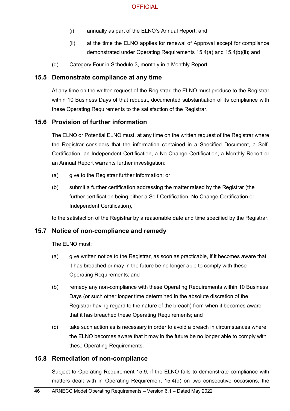- (i) annually as part of the ELNO's Annual Report; and
- (ii) at the time the ELNO applies for renewal of Approval except for compliance demonstrated under Operating Requirements 15.4(a) and 15.4(b)(ii); and
- (d) Category Four in Schedule 3, monthly in a Monthly Report.

#### **15.5 Demonstrate compliance at any time**

At any time on the written request of the Registrar, the ELNO must produce to the Registrar within 10 Business Days of that request, documented substantiation of its compliance with these Operating Requirements to the satisfaction of the Registrar.

#### **15.6 Provision of further information**

The ELNO or Potential ELNO must, at any time on the written request of the Registrar where the Registrar considers that the information contained in a Specified Document, a Self-Certification, an Independent Certification, a No Change Certification, a Monthly Report or an Annual Report warrants further investigation:

- (a) give to the Registrar further information; or
- (b) submit a further certification addressing the matter raised by the Registrar (the further certification being either a Self-Certification, No Change Certification or Independent Certification),

to the satisfaction of the Registrar by a reasonable date and time specified by the Registrar.

#### **15.7 Notice of non-compliance and remedy**

The ELNO must:

- (a) give written notice to the Registrar, as soon as practicable, if it becomes aware that it has breached or may in the future be no longer able to comply with these Operating Requirements; and
- (b) remedy any non-compliance with these Operating Requirements within 10 Business Days (or such other longer time determined in the absolute discretion of the Registrar having regard to the nature of the breach) from when it becomes aware that it has breached these Operating Requirements; and
- (c) take such action as is necessary in order to avoid a breach in circumstances where the ELNO becomes aware that it may in the future be no longer able to comply with these Operating Requirements.

#### **15.8 Remediation of non-compliance**

Subject to Operating Requirement 15.9, if the ELNO fails to demonstrate compliance with matters dealt with in Operating Requirement 15.4(d) on two consecutive occasions, the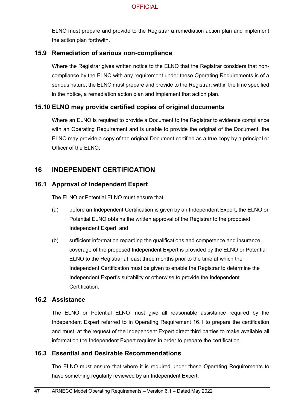ELNO must prepare and provide to the Registrar a remediation action plan and implement the action plan forthwith.

#### **15.9 Remediation of serious non-compliance**

Where the Registrar gives written notice to the ELNO that the Registrar considers that noncompliance by the ELNO with any requirement under these Operating Requirements is of a serious nature, the ELNO must prepare and provide to the Registrar, within the time specified in the notice, a remediation action plan and implement that action plan.

### **15.10 ELNO may provide certified copies of original documents**

Where an ELNO is required to provide a Document to the Registrar to evidence compliance with an Operating Requirement and is unable to provide the original of the Document, the ELNO may provide a copy of the original Document certified as a true copy by a principal or Officer of the ELNO.

## **16 INDEPENDENT CERTIFICATION**

#### **16.1 Approval of Independent Expert**

The FLNO or Potential FLNO must ensure that:

- (a) before an Independent Certification is given by an Independent Expert, the ELNO or Potential ELNO obtains the written approval of the Registrar to the proposed Independent Expert; and
- (b) sufficient information regarding the qualifications and competence and insurance coverage of the proposed Independent Expert is provided by the ELNO or Potential ELNO to the Registrar at least three months prior to the time at which the Independent Certification must be given to enable the Registrar to determine the Independent Expert's suitability or otherwise to provide the Independent **Certification**

#### **16.2 Assistance**

The ELNO or Potential ELNO must give all reasonable assistance required by the Independent Expert referred to in Operating Requirement 16.1 to prepare the certification and must, at the request of the Independent Expert direct third parties to make available all information the Independent Expert requires in order to prepare the certification.

#### **16.3 Essential and Desirable Recommendations**

The ELNO must ensure that where it is required under these Operating Requirements to have something regularly reviewed by an Independent Expert: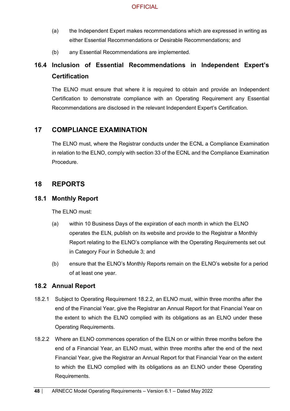- (a) the Independent Expert makes recommendations which are expressed in writing as either Essential Recommendations or Desirable Recommendations; and
- (b) any Essential Recommendations are implemented.

# **16.4 Inclusion of Essential Recommendations in Independent Expert's Certification**

The ELNO must ensure that where it is required to obtain and provide an Independent Certification to demonstrate compliance with an Operating Requirement any Essential Recommendations are disclosed in the relevant Independent Expert's Certification.

## **17 COMPLIANCE EXAMINATION**

The ELNO must, where the Registrar conducts under the ECNL a Compliance Examination in relation to the ELNO, comply with section 33 of the ECNL and the Compliance Examination Procedure.

### **18 REPORTS**

#### **18.1 Monthly Report**

The ELNO must:

- (a) within 10 Business Days of the expiration of each month in which the ELNO operates the ELN, publish on its website and provide to the Registrar a Monthly Report relating to the ELNO's compliance with the Operating Requirements set out in Category Four in Schedule 3; and
- (b) ensure that the ELNO's Monthly Reports remain on the ELNO's website for a period of at least one year.

#### **18.2 Annual Report**

- 18.2.1 Subject to Operating Requirement 18.2.2, an ELNO must, within three months after the end of the Financial Year, give the Registrar an Annual Report for that Financial Year on the extent to which the ELNO complied with its obligations as an ELNO under these Operating Requirements.
- 18.2.2 Where an ELNO commences operation of the ELN on or within three months before the end of a Financial Year, an ELNO must, within three months after the end of the next Financial Year, give the Registrar an Annual Report for that Financial Year on the extent to which the ELNO complied with its obligations as an ELNO under these Operating Requirements.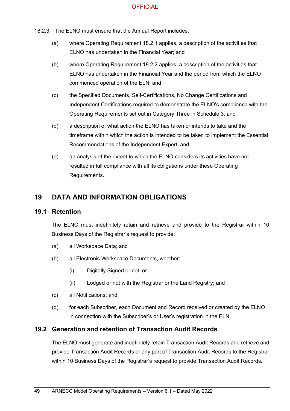- 18.2.3 The ELNO must ensure that the Annual Report includes:
	- (a) where Operating Requirement 18.2.1 applies, a description of the activities that ELNO has undertaken in the Financial Year; and
	- (b) where Operating Requirement 18.2.2 applies, a description of the activities that ELNO has undertaken in the Financial Year and the period from which the ELNO commenced operation of the ELN; and
	- (c) the Specified Documents, Self-Certifications, No Change Certifications and Independent Certifications required to demonstrate the ELNO's compliance with the Operating Requirements set out in Category Three in Schedule 3; and
	- (d) a description of what action the ELNO has taken or intends to take and the timeframe within which the action is intended to be taken to implement the Essential Recommendations of the Independent Expert; and
	- (e) an analysis of the extent to which the ELNO considers its activities have not resulted in full compliance with all its obligations under these Operating Requirements.

## **19 DATA AND INFORMATION OBLIGATIONS**

#### **19.1 Retention**

The ELNO must indefinitely retain and retrieve and provide to the Registrar within 10 Business Days of the Registrar's request to provide:

- (a) all Workspace Data; and
- (b) all Electronic Workspace Documents, whether:
	- (i) Digitally Signed or not; or
	- (ii) Lodged or not with the Registrar or the Land Registry; and
- (c) all Notifications; and
- (d) for each Subscriber, each Document and Record received or created by the ELNO in connection with the Subscriber's or User's registration in the ELN.

### **19.2 Generation and retention of Transaction Audit Records**

The ELNO must generate and indefinitely retain Transaction Audit Records and retrieve and provide Transaction Audit Records or any part of Transaction Audit Records to the Registrar within 10 Business Days of the Registrar's request to provide Transaction Audit Records.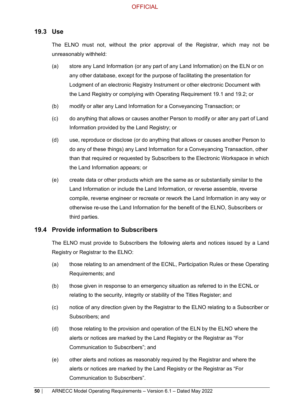#### **19.3 Use**

The ELNO must not, without the prior approval of the Registrar, which may not be unreasonably withheld:

- (a) store any Land Information (or any part of any Land Information) on the ELN or on any other database, except for the purpose of facilitating the presentation for Lodgment of an electronic Registry Instrument or other electronic Document with the Land Registry or complying with Operating Requirement 19.1 and 19.2; or
- (b) modify or alter any Land Information for a Conveyancing Transaction; or
- (c) do anything that allows or causes another Person to modify or alter any part of Land Information provided by the Land Registry; or
- (d) use, reproduce or disclose (or do anything that allows or causes another Person to do any of these things) any Land Information for a Conveyancing Transaction, other than that required or requested by Subscribers to the Electronic Workspace in which the Land Information appears; or
- (e) create data or other products which are the same as or substantially similar to the Land Information or include the Land Information, or reverse assemble, reverse compile, reverse engineer or recreate or rework the Land Information in any way or otherwise re-use the Land Information for the benefit of the ELNO, Subscribers or third parties.

#### **19.4 Provide information to Subscribers**

The ELNO must provide to Subscribers the following alerts and notices issued by a Land Registry or Registrar to the ELNO:

- (a) those relating to an amendment of the ECNL, Participation Rules or these Operating Requirements; and
- (b) those given in response to an emergency situation as referred to in the ECNL or relating to the security, integrity or stability of the Titles Register; and
- (c) notice of any direction given by the Registrar to the ELNO relating to a Subscriber or Subscribers; and
- (d) those relating to the provision and operation of the ELN by the ELNO where the alerts or notices are marked by the Land Registry or the Registrar as "For Communication to Subscribers"; and
- (e) other alerts and notices as reasonably required by the Registrar and where the alerts or notices are marked by the Land Registry or the Registrar as "For Communication to Subscribers".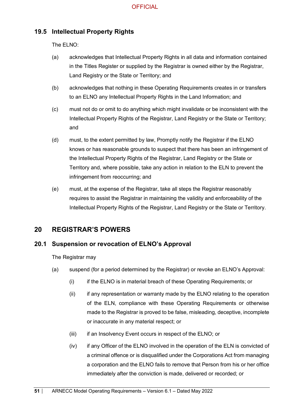## **19.5 Intellectual Property Rights**

The ELNO:

- (a) acknowledges that Intellectual Property Rights in all data and information contained in the Titles Register or supplied by the Registrar is owned either by the Registrar, Land Registry or the State or Territory; and
- (b) acknowledges that nothing in these Operating Requirements creates in or transfers to an ELNO any Intellectual Property Rights in the Land Information; and
- (c) must not do or omit to do anything which might invalidate or be inconsistent with the Intellectual Property Rights of the Registrar, Land Registry or the State or Territory; and
- (d) must, to the extent permitted by law, Promptly notify the Registrar if the ELNO knows or has reasonable grounds to suspect that there has been an infringement of the Intellectual Property Rights of the Registrar, Land Registry or the State or Territory and, where possible, take any action in relation to the ELN to prevent the infringement from reoccurring; and
- (e) must, at the expense of the Registrar, take all steps the Registrar reasonably requires to assist the Registrar in maintaining the validity and enforceability of the Intellectual Property Rights of the Registrar, Land Registry or the State or Territory.

## **20 REGISTRAR'S POWERS**

### **20.1 Suspension or revocation of ELNO's Approval**

The Registrar may

- (a) suspend (for a period determined by the Registrar) or revoke an ELNO's Approval:
	- (i) if the ELNO is in material breach of these Operating Requirements; or
	- (ii) if any representation or warranty made by the ELNO relating to the operation of the ELN, compliance with these Operating Requirements or otherwise made to the Registrar is proved to be false, misleading, deceptive, incomplete or inaccurate in any material respect; or
	- (iii) if an Insolvency Event occurs in respect of the ELNO; or
	- (iv) if any Officer of the ELNO involved in the operation of the ELN is convicted of a criminal offence or is disqualified under the Corporations Act from managing a corporation and the ELNO fails to remove that Person from his or her office immediately after the conviction is made, delivered or recorded; or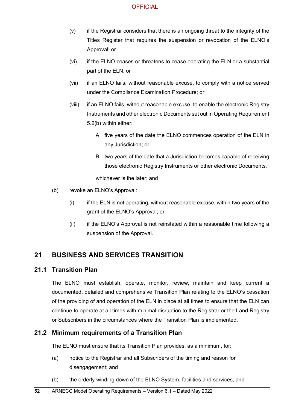- (v) if the Registrar considers that there is an ongoing threat to the integrity of the Titles Register that requires the suspension or revocation of the ELNO's Approval; or
- (vi) if the ELNO ceases or threatens to cease operating the ELN or a substantial part of the ELN; or
- (vii) if an ELNO fails, without reasonable excuse, to comply with a notice served under the Compliance Examination Procedure; or
- (viii) if an ELNO fails, without reasonable excuse, to enable the electronic Registry Instruments and other electronic Documents set out in Operating Requirement 5.2(b) within either:
	- A. five years of the date the ELNO commences operation of the ELN in any Jurisdiction; or
	- B. two years of the date that a Jurisdiction becomes capable of receiving those electronic Registry Instruments or other electronic Documents,

whichever is the later; and

- (b) revoke an ELNO's Approval:
	- (i) if the ELN is not operating, without reasonable excuse, within two years of the grant of the ELNO's Approval; or
	- (ii) if the ELNO's Approval is not reinstated within a reasonable time following a suspension of the Approval.

## **21 BUSINESS AND SERVICES TRANSITION**

#### **21.1 Transition Plan**

The ELNO must establish, operate, monitor, review, maintain and keep current a documented, detailed and comprehensive Transition Plan relating to the ELNO's cessation of the providing of and operation of the ELN in place at all times to ensure that the ELN can continue to operate at all times with minimal disruption to the Registrar or the Land Registry or Subscribers in the circumstances where the Transition Plan is implemented.

### **21.2 Minimum requirements of a Transition Plan**

The ELNO must ensure that its Transition Plan provides, as a minimum, for:

- (a) notice to the Registrar and all Subscribers of the timing and reason for disengagement; and
- (b) the orderly winding down of the ELNO System, facilities and services; and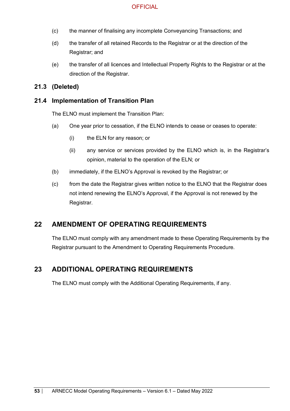- (c) the manner of finalising any incomplete Conveyancing Transactions; and
- (d) the transfer of all retained Records to the Registrar or at the direction of the Registrar; and
- (e) the transfer of all licences and Intellectual Property Rights to the Registrar or at the direction of the Registrar.

#### **21.3 (Deleted)**

#### **21.4 Implementation of Transition Plan**

The ELNO must implement the Transition Plan:

- (a) One year prior to cessation, if the ELNO intends to cease or ceases to operate:
	- (i) the ELN for any reason; or
	- (ii) any service or services provided by the ELNO which is, in the Registrar's opinion, material to the operation of the ELN; or
- (b) immediately, if the ELNO's Approval is revoked by the Registrar; or
- (c) from the date the Registrar gives written notice to the ELNO that the Registrar does not intend renewing the ELNO's Approval, if the Approval is not renewed by the Registrar.

### **22 AMENDMENT OF OPERATING REQUIREMENTS**

The ELNO must comply with any amendment made to these Operating Requirements by the Registrar pursuant to the Amendment to Operating Requirements Procedure.

## **23 ADDITIONAL OPERATING REQUIREMENTS**

The ELNO must comply with the Additional Operating Requirements, if any.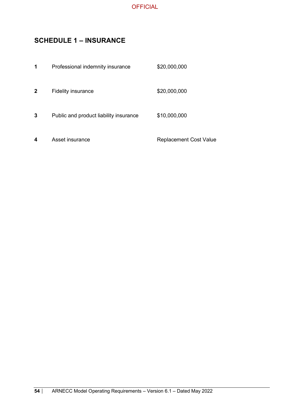

## **SCHEDULE 1 – INSURANCE**

| 1 | Professional indemnity insurance       | \$20,000,000                  |
|---|----------------------------------------|-------------------------------|
| 2 | <b>Fidelity insurance</b>              | \$20,000,000                  |
| 3 | Public and product liability insurance | \$10,000,000                  |
| 4 | Asset insurance                        | <b>Replacement Cost Value</b> |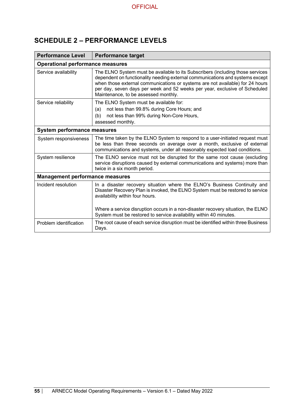## **SCHEDULE 2 – PERFORMANCE LEVELS**

| <b>Performance Level</b>               | <b>Performance target</b>                                                                                                                                                                                                                                                                                                                                              |  |  |  |  |
|----------------------------------------|------------------------------------------------------------------------------------------------------------------------------------------------------------------------------------------------------------------------------------------------------------------------------------------------------------------------------------------------------------------------|--|--|--|--|
|                                        | <b>Operational performance measures</b>                                                                                                                                                                                                                                                                                                                                |  |  |  |  |
| Service availability                   | The ELNO System must be available to its Subscribers (including those services<br>dependent on functionality needing external communications and systems except<br>when those external communications or systems are not available) for 24 hours<br>per day, seven days per week and 52 weeks per year, exclusive of Scheduled<br>Maintenance, to be assessed monthly. |  |  |  |  |
| Service reliability                    | The ELNO System must be available for:<br>not less than 99.8% during Core Hours; and<br>(a)<br>not less than 99% during Non-Core Hours,<br>(b)<br>assessed monthly.                                                                                                                                                                                                    |  |  |  |  |
| <b>System performance measures</b>     |                                                                                                                                                                                                                                                                                                                                                                        |  |  |  |  |
| System responsiveness                  | The time taken by the ELNO System to respond to a user-initiated request must<br>be less than three seconds on average over a month, exclusive of external<br>communications and systems, under all reasonably expected load conditions.                                                                                                                               |  |  |  |  |
| System resilience                      | The ELNO service must not be disrupted for the same root cause (excluding<br>service disruptions caused by external communications and systems) more than<br>twice in a six month period.                                                                                                                                                                              |  |  |  |  |
| <b>Management performance measures</b> |                                                                                                                                                                                                                                                                                                                                                                        |  |  |  |  |
| Incident resolution                    | In a disaster recovery situation where the ELNO's Business Continuity and<br>Disaster Recovery Plan is invoked, the ELNO System must be restored to service<br>availability within four hours.                                                                                                                                                                         |  |  |  |  |
|                                        | Where a service disruption occurs in a non-disaster recovery situation, the ELNO<br>System must be restored to service availability within 40 minutes.                                                                                                                                                                                                                 |  |  |  |  |
| Problem identification                 | The root cause of each service disruption must be identified within three Business<br>Days.                                                                                                                                                                                                                                                                            |  |  |  |  |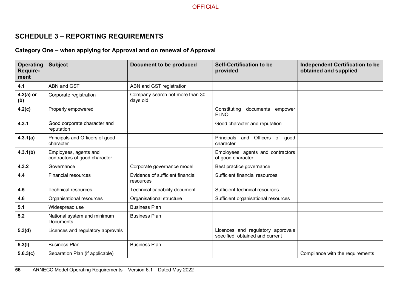## **SCHEDULE 3 – REPORTING REQUIREMENTS**

# **Category One – when applying for Approval and on renewal of Approval**

| <b>Operating</b><br>Require-<br>ment | <b>Subject</b>                                         | Document to be produced                       | <b>Self-Certification to be</b><br>provided                          | <b>Independent Certification to be</b><br>obtained and supplied |
|--------------------------------------|--------------------------------------------------------|-----------------------------------------------|----------------------------------------------------------------------|-----------------------------------------------------------------|
| 4.1                                  | <b>ABN and GST</b>                                     | ABN and GST registration                      |                                                                      |                                                                 |
| $4.2(a)$ or<br>(b)                   | Corporate registration                                 | Company search not more than 30<br>days old   |                                                                      |                                                                 |
| 4.2(c)                               | Properly empowered                                     |                                               | Constituting<br>documents<br>empower<br><b>ELNO</b>                  |                                                                 |
| 4.3.1                                | Good corporate character and<br>reputation             |                                               | Good character and reputation                                        |                                                                 |
| 4.3.1(a)                             | Principals and Officers of good<br>character           |                                               | Principals and Officers of good<br>character                         |                                                                 |
| 4.3.1(b)                             | Employees, agents and<br>contractors of good character |                                               | Employees, agents and contractors<br>of good character               |                                                                 |
| 4.3.2                                | Governance                                             | Corporate governance model                    | Best practice governance                                             |                                                                 |
| 4.4                                  | <b>Financial resources</b>                             | Evidence of sufficient financial<br>resources | Sufficient financial resources                                       |                                                                 |
| 4.5                                  | <b>Technical resources</b>                             | Technical capability document                 | Sufficient technical resources                                       |                                                                 |
| 4.6                                  | Organisational resources                               | Organisational structure                      | Sufficient organisational resources                                  |                                                                 |
| 5.1                                  | Widespread use                                         | <b>Business Plan</b>                          |                                                                      |                                                                 |
| 5.2                                  | National system and minimum<br><b>Documents</b>        | <b>Business Plan</b>                          |                                                                      |                                                                 |
| 5.3(d)                               | Licences and regulatory approvals                      |                                               | Licences and regulatory approvals<br>specified, obtained and current |                                                                 |
| 5.3(l)                               | <b>Business Plan</b>                                   | <b>Business Plan</b>                          |                                                                      |                                                                 |
| 5.6.3(c)                             | Separation Plan (if applicable)                        |                                               |                                                                      | Compliance with the requirements                                |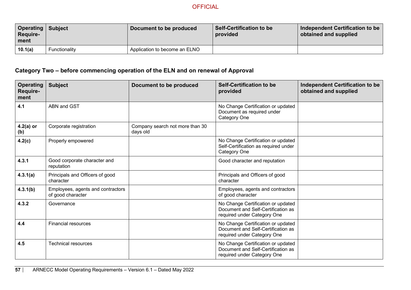| <b>Operating   Subject</b><br><b>Require-</b><br>l ment |               | Document to be produced       | Self-Certification to be<br>provided | Independent Certification to be<br>obtained and supplied |
|---------------------------------------------------------|---------------|-------------------------------|--------------------------------------|----------------------------------------------------------|
| 10.1(a)                                                 | Functionality | Application to become an ELNO |                                      |                                                          |

## **Category Two – before commencing operation of the ELN and on renewal of Approval**

| <b>Operating</b><br><b>Require-</b><br>ment | <b>Subject</b>                                         | Document to be produced                     | Self-Certification to be<br>provided                                                                    | <b>Independent Certification to be</b><br>obtained and supplied |
|---------------------------------------------|--------------------------------------------------------|---------------------------------------------|---------------------------------------------------------------------------------------------------------|-----------------------------------------------------------------|
| 4.1                                         | <b>ABN and GST</b>                                     |                                             | No Change Certification or updated<br>Document as required under<br>Category One                        |                                                                 |
| $4.2(a)$ or<br>(b)                          | Corporate registration                                 | Company search not more than 30<br>days old |                                                                                                         |                                                                 |
| 4.2(c)                                      | Properly empowered                                     |                                             | No Change Certification or updated<br>Self-Certification as required under<br>Category One              |                                                                 |
| 4.3.1                                       | Good corporate character and<br>reputation             |                                             | Good character and reputation                                                                           |                                                                 |
| 4.3.1(a)                                    | Principals and Officers of good<br>character           |                                             | Principals and Officers of good<br>character                                                            |                                                                 |
| 4.3.1(b)                                    | Employees, agents and contractors<br>of good character |                                             | Employees, agents and contractors<br>of good character                                                  |                                                                 |
| 4.3.2                                       | Governance                                             |                                             | No Change Certification or updated<br>Document and Self-Certification as<br>required under Category One |                                                                 |
| 4.4                                         | <b>Financial resources</b>                             |                                             | No Change Certification or updated<br>Document and Self-Certification as<br>required under Category One |                                                                 |
| 4.5                                         | <b>Technical resources</b>                             |                                             | No Change Certification or updated<br>Document and Self-Certification as<br>required under Category One |                                                                 |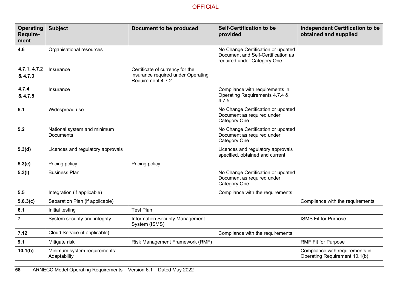| <b>Operating</b><br>Require-<br>ment | <b>Subject</b>                                  | Document to be produced                                                                    | <b>Self-Certification to be</b><br>provided                                                             | <b>Independent Certification to be</b><br>obtained and supplied  |
|--------------------------------------|-------------------------------------------------|--------------------------------------------------------------------------------------------|---------------------------------------------------------------------------------------------------------|------------------------------------------------------------------|
| 4.6                                  | Organisational resources                        |                                                                                            | No Change Certification or updated<br>Document and Self-Certification as<br>required under Category One |                                                                  |
| 4.7.1, 4.7.2<br>& 4.7.3              | Insurance                                       | Certificate of currency for the<br>insurance required under Operating<br>Requirement 4.7.2 |                                                                                                         |                                                                  |
| 4.7.4<br>& 4.7.5                     | Insurance                                       |                                                                                            | Compliance with requirements in<br>Operating Requirements 4.7.4 &<br>4.7.5                              |                                                                  |
| 5.1                                  | Widespread use                                  |                                                                                            | No Change Certification or updated<br>Document as required under<br>Category One                        |                                                                  |
| 5.2                                  | National system and minimum<br><b>Documents</b> |                                                                                            | No Change Certification or updated<br>Document as required under<br>Category One                        |                                                                  |
| 5.3(d)                               | Licences and regulatory approvals               |                                                                                            | Licences and regulatory approvals<br>specified, obtained and current                                    |                                                                  |
| 5.3(e)                               | Pricing policy                                  | Pricing policy                                                                             |                                                                                                         |                                                                  |
| 5.3(1)                               | <b>Business Plan</b>                            |                                                                                            | No Change Certification or updated<br>Document as required under<br>Category One                        |                                                                  |
| 5.5                                  | Integration (if applicable)                     |                                                                                            | Compliance with the requirements                                                                        |                                                                  |
| 5.6.3(c)                             | Separation Plan (if applicable)                 |                                                                                            |                                                                                                         | Compliance with the requirements                                 |
| 6.1                                  | Initial testing                                 | <b>Test Plan</b>                                                                           |                                                                                                         |                                                                  |
| $\overline{7}$                       | System security and integrity                   | <b>Information Security Management</b><br>System (ISMS)                                    |                                                                                                         | ISMS Fit for Purpose                                             |
| 7.12                                 | Cloud Service (if applicable)                   |                                                                                            | Compliance with the requirements                                                                        |                                                                  |
| 9.1                                  | Mitigate risk                                   | Risk Management Framework (RMF)                                                            |                                                                                                         | <b>RMF Fit for Purpose</b>                                       |
| 10.1(b)                              | Minimum system requirements:<br>Adaptability    |                                                                                            |                                                                                                         | Compliance with requirements in<br>Operating Requirement 10.1(b) |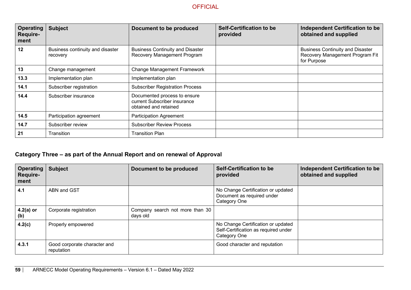| <b>Operating</b><br><b>Require-</b><br>ment | <b>Subject</b>                               | Document to be produced                                                               | <b>Self-Certification to be</b><br>provided | Independent Certification to be<br>obtained and supplied                                  |
|---------------------------------------------|----------------------------------------------|---------------------------------------------------------------------------------------|---------------------------------------------|-------------------------------------------------------------------------------------------|
| 12                                          | Business continuity and disaster<br>recovery | <b>Business Continuity and Disaster</b><br>Recovery Management Program                |                                             | <b>Business Continuity and Disaster</b><br>Recovery Management Program Fit<br>for Purpose |
| 13                                          | Change management                            | <b>Change Management Framework</b>                                                    |                                             |                                                                                           |
| 13.3                                        | Implementation plan                          | Implementation plan                                                                   |                                             |                                                                                           |
| 14.1                                        | Subscriber registration                      | <b>Subscriber Registration Process</b>                                                |                                             |                                                                                           |
| 14.4                                        | Subscriber insurance                         | Documented process to ensure<br>current Subscriber insurance<br>obtained and retained |                                             |                                                                                           |
| 14.5                                        | Participation agreement                      | <b>Participation Agreement</b>                                                        |                                             |                                                                                           |
| 14.7                                        | Subscriber review                            | <b>Subscriber Review Process</b>                                                      |                                             |                                                                                           |
| 21                                          | Transition                                   | <b>Transition Plan</b>                                                                |                                             |                                                                                           |

## **Category Three – as part of the Annual Report and on renewal of Approval**

| <b>Operating</b><br><b>Require-</b><br>ment | <b>Subject</b>                             | Document to be produced                     | <b>Self-Certification to be</b><br>provided                                                | <b>Independent Certification to be</b><br>obtained and supplied |
|---------------------------------------------|--------------------------------------------|---------------------------------------------|--------------------------------------------------------------------------------------------|-----------------------------------------------------------------|
| 4.1                                         | ABN and GST                                |                                             | No Change Certification or updated<br>Document as required under<br>Category One           |                                                                 |
| $4.2(a)$ or<br>(b)                          | Corporate registration                     | Company search not more than 30<br>days old |                                                                                            |                                                                 |
| 4.2(c)                                      | Properly empowered                         |                                             | No Change Certification or updated<br>Self-Certification as required under<br>Category One |                                                                 |
| 4.3.1                                       | Good corporate character and<br>reputation |                                             | Good character and reputation                                                              |                                                                 |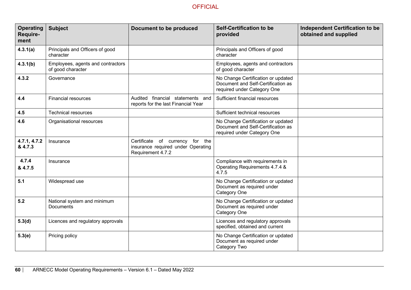| <b>Operating</b><br>Require-<br>ment | <b>Subject</b>                                         | Document to be produced                                                                    | <b>Self-Certification to be</b><br>provided                                                             | <b>Independent Certification to be</b><br>obtained and supplied |
|--------------------------------------|--------------------------------------------------------|--------------------------------------------------------------------------------------------|---------------------------------------------------------------------------------------------------------|-----------------------------------------------------------------|
| 4.3.1(a)                             | Principals and Officers of good<br>character           |                                                                                            | Principals and Officers of good<br>character                                                            |                                                                 |
| 4.3.1(b)                             | Employees, agents and contractors<br>of good character |                                                                                            | Employees, agents and contractors<br>of good character                                                  |                                                                 |
| 4.3.2                                | Governance                                             |                                                                                            | No Change Certification or updated<br>Document and Self-Certification as<br>required under Category One |                                                                 |
| 4.4                                  | <b>Financial resources</b>                             | Audited financial statements and<br>reports for the last Financial Year                    | Sufficient financial resources                                                                          |                                                                 |
| 4.5                                  | <b>Technical resources</b>                             |                                                                                            | Sufficient technical resources                                                                          |                                                                 |
| 4.6                                  | Organisational resources                               |                                                                                            | No Change Certification or updated<br>Document and Self-Certification as<br>required under Category One |                                                                 |
| 4.7.1, 4.7.2<br>& 4.7.3              | Insurance                                              | Certificate of currency for the<br>insurance required under Operating<br>Requirement 4.7.2 |                                                                                                         |                                                                 |
| 4.7.4<br>& 4.7.5                     | Insurance                                              |                                                                                            | Compliance with requirements in<br>Operating Requirements 4.7.4 &<br>4.7.5                              |                                                                 |
| 5.1                                  | Widespread use                                         |                                                                                            | No Change Certification or updated<br>Document as required under<br>Category One                        |                                                                 |
| 5.2                                  | National system and minimum<br><b>Documents</b>        |                                                                                            | No Change Certification or updated<br>Document as required under<br>Category One                        |                                                                 |
| 5.3(d)                               | Licences and regulatory approvals                      |                                                                                            | Licences and regulatory approvals<br>specified, obtained and current                                    |                                                                 |
| 5.3(e)                               | Pricing policy                                         |                                                                                            | No Change Certification or updated<br>Document as required under<br>Category Two                        |                                                                 |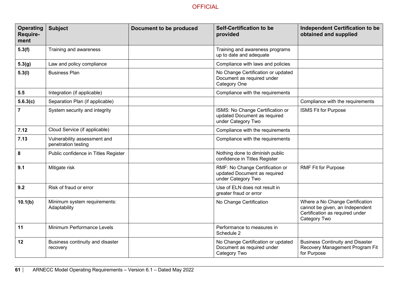| <b>Operating</b><br>Require-<br>ment | <b>Subject</b>                                      | Document to be produced | <b>Self-Certification to be</b><br>provided                                            | <b>Independent Certification to be</b><br>obtained and supplied                                                       |
|--------------------------------------|-----------------------------------------------------|-------------------------|----------------------------------------------------------------------------------------|-----------------------------------------------------------------------------------------------------------------------|
| 5.3(f)                               | Training and awareness                              |                         | Training and awareness programs<br>up to date and adequate                             |                                                                                                                       |
| 5.3(g)                               | Law and policy compliance                           |                         | Compliance with laws and policies                                                      |                                                                                                                       |
| 5.3(1)                               | <b>Business Plan</b>                                |                         | No Change Certification or updated<br>Document as required under<br>Category One       |                                                                                                                       |
| 5.5                                  | Integration (if applicable)                         |                         | Compliance with the requirements                                                       |                                                                                                                       |
| 5.6.3(c)                             | Separation Plan (if applicable)                     |                         |                                                                                        | Compliance with the requirements                                                                                      |
| $\overline{7}$                       | System security and integrity                       |                         | ISMS: No Change Certification or<br>updated Document as required<br>under Category Two | <b>ISMS Fit for Purpose</b>                                                                                           |
| 7.12                                 | Cloud Service (if applicable)                       |                         | Compliance with the requirements                                                       |                                                                                                                       |
| 7.13                                 | Vulnerability assessment and<br>penetration testing |                         | Compliance with the requirements                                                       |                                                                                                                       |
| 8                                    | Public confidence in Titles Register                |                         | Nothing done to diminish public<br>confidence in Titles Register                       |                                                                                                                       |
| 9.1                                  | Mitigate risk                                       |                         | RMF: No Change Certification or<br>updated Document as required<br>under Category Two  | <b>RMF Fit for Purpose</b>                                                                                            |
| 9.2                                  | Risk of fraud or error                              |                         | Use of ELN does not result in<br>greater fraud or error                                |                                                                                                                       |
| 10.1(b)                              | Minimum system requirements:<br>Adaptability        |                         | No Change Certification                                                                | Where a No Change Certification<br>cannot be given, an Independent<br>Certification as required under<br>Category Two |
| 11                                   | Minimum Performance Levels                          |                         | Performance to measures in<br>Schedule 2                                               |                                                                                                                       |
| 12                                   | Business continuity and disaster<br>recovery        |                         | No Change Certification or updated<br>Document as required under<br>Category Two       | <b>Business Continuity and Disaster</b><br>Recovery Management Program Fit<br>for Purpose                             |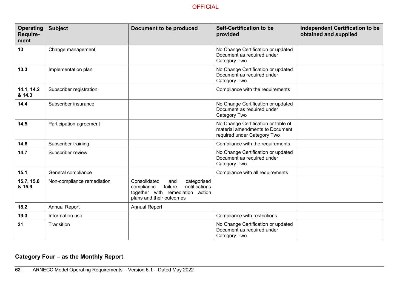| <b>Operating</b><br>Require-<br>ment | <b>Subject</b>             | Document to be produced                                                                                                                      | <b>Self-Certification to be</b><br>provided                                                           | <b>Independent Certification to be</b><br>obtained and supplied |
|--------------------------------------|----------------------------|----------------------------------------------------------------------------------------------------------------------------------------------|-------------------------------------------------------------------------------------------------------|-----------------------------------------------------------------|
| 13                                   | Change management          |                                                                                                                                              | No Change Certification or updated<br>Document as required under<br>Category Two                      |                                                                 |
| 13.3                                 | Implementation plan        |                                                                                                                                              | No Change Certification or updated<br>Document as required under<br>Category Two                      |                                                                 |
| 14.1, 14.2<br>& 14.3                 | Subscriber registration    |                                                                                                                                              | Compliance with the requirements                                                                      |                                                                 |
| 14.4                                 | Subscriber insurance       |                                                                                                                                              | No Change Certification or updated<br>Document as required under<br>Category Two                      |                                                                 |
| $14.5$                               | Participation agreement    |                                                                                                                                              | No Change Certification or table of<br>material amendments to Document<br>required under Category Two |                                                                 |
| 14.6                                 | Subscriber training        |                                                                                                                                              | Compliance with the requirements                                                                      |                                                                 |
| 14.7                                 | Subscriber review          |                                                                                                                                              | No Change Certification or updated<br>Document as required under<br>Category Two                      |                                                                 |
| 15.1                                 | General compliance         |                                                                                                                                              | Compliance with all requirements                                                                      |                                                                 |
| 15.7, 15.8<br>& 15.9                 | Non-compliance remediation | Consolidated<br>categorised<br>and<br>notifications<br>failure<br>compliance<br>together with remediation action<br>plans and their outcomes |                                                                                                       |                                                                 |
| 18.2                                 | <b>Annual Report</b>       | <b>Annual Report</b>                                                                                                                         |                                                                                                       |                                                                 |
| 19.3                                 | Information use            |                                                                                                                                              | Compliance with restrictions                                                                          |                                                                 |
| 21                                   | Transition                 |                                                                                                                                              | No Change Certification or updated<br>Document as required under<br>Category Two                      |                                                                 |

## **Category Four – as the Monthly Report**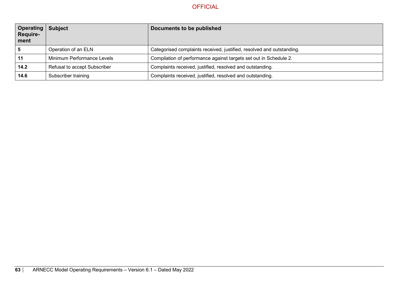| Operating<br>Require-<br>ment | <b>Subject</b>               | Documents to be published                                             |
|-------------------------------|------------------------------|-----------------------------------------------------------------------|
|                               | Operation of an ELN          | Categorised complaints received, justified, resolved and outstanding. |
|                               | Minimum Performance Levels   | Compilation of performance against targets set out in Schedule 2.     |
| 14.2                          | Refusal to accept Subscriber | Complaints received, justified, resolved and outstanding.             |
| 14.6                          | Subscriber training          | Complaints received, justified, resolved and outstanding.             |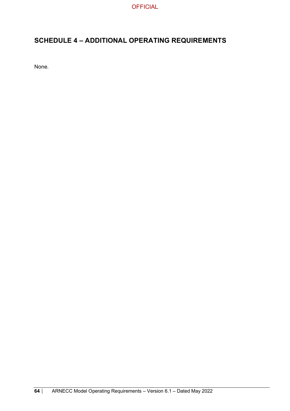## **SCHEDULE 4 – ADDITIONAL OPERATING REQUIREMENTS**

None.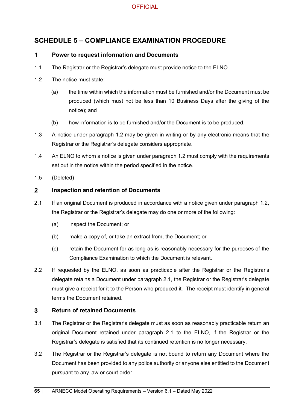## **SCHEDULE 5 – COMPLIANCE EXAMINATION PROCEDURE**

#### $\mathbf 1$ **Power to request information and Documents**

- 1.1 The Registrar or the Registrar's delegate must provide notice to the ELNO.
- 1.2 The notice must state:
	- (a) the time within which the information must be furnished and/or the Document must be produced (which must not be less than 10 Business Days after the giving of the notice); and
	- (b) how information is to be furnished and/or the Document is to be produced.
- 1.3 A notice under paragraph 1.2 may be given in writing or by any electronic means that the Registrar or the Registrar's delegate considers appropriate.
- 1.4 An ELNO to whom a notice is given under paragraph 1.2 must comply with the requirements set out in the notice within the period specified in the notice.
- 1.5 (Deleted)

#### $2^{\circ}$ **Inspection and retention of Documents**

- 2.1 If an original Document is produced in accordance with a notice given under paragraph 1.2, the Registrar or the Registrar's delegate may do one or more of the following:
	- (a) inspect the Document; or
	- (b) make a copy of, or take an extract from, the Document; or
	- (c) retain the Document for as long as is reasonably necessary for the purposes of the Compliance Examination to which the Document is relevant.
- 2.2 If requested by the ELNO, as soon as practicable after the Registrar or the Registrar's delegate retains a Document under paragraph 2.1, the Registrar or the Registrar's delegate must give a receipt for it to the Person who produced it. The receipt must identify in general terms the Document retained.

#### $\mathbf{3}$ **Return of retained Documents**

- 3.1 The Registrar or the Registrar's delegate must as soon as reasonably practicable return an original Document retained under paragraph 2.1 to the ELNO, if the Registrar or the Registrar's delegate is satisfied that its continued retention is no longer necessary.
- 3.2 The Registrar or the Registrar's delegate is not bound to return any Document where the Document has been provided to any police authority or anyone else entitled to the Document pursuant to any law or court order.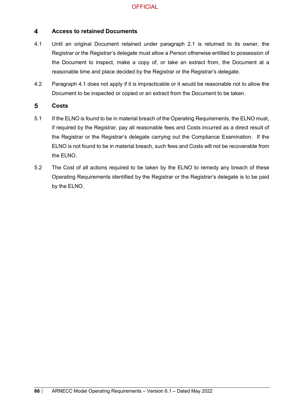#### $\overline{\mathbf{4}}$ **Access to retained Documents**

- 4.1 Until an original Document retained under paragraph 2.1 is returned to its owner, the Registrar or the Registrar's delegate must allow a Person otherwise entitled to possession of the Document to inspect, make a copy of, or take an extract from, the Document at a reasonable time and place decided by the Registrar or the Registrar's delegate.
- 4.2 Paragraph 4.1 does not apply if it is impracticable or it would be reasonable not to allow the Document to be inspected or copied or an extract from the Document to be taken.

#### $5\phantom{.0}$ **Costs**

- 5.1 If the ELNO is found to be in material breach of the Operating Requirements, the ELNO must, if required by the Registrar, pay all reasonable fees and Costs incurred as a direct result of the Registrar or the Registrar's delegate carrying out the Compliance Examination. If the ELNO is not found to be in material breach, such fees and Costs will not be recoverable from the ELNO.
- 5.2 The Cost of all actions required to be taken by the ELNO to remedy any breach of these Operating Requirements identified by the Registrar or the Registrar's delegate is to be paid by the ELNO.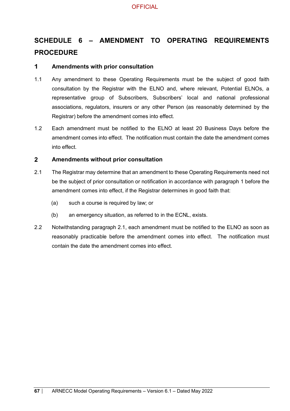# **SCHEDULE 6 – AMENDMENT TO OPERATING REQUIREMENTS PROCEDURE**

#### $\mathbf 1$ **Amendments with prior consultation**

- 1.1 Any amendment to these Operating Requirements must be the subject of good faith consultation by the Registrar with the ELNO and, where relevant, Potential ELNOs, a representative group of Subscribers, Subscribers' local and national professional associations, regulators, insurers or any other Person (as reasonably determined by the Registrar) before the amendment comes into effect.
- 1.2 Each amendment must be notified to the ELNO at least 20 Business Days before the amendment comes into effect. The notification must contain the date the amendment comes into effect.

#### $\overline{2}$ **Amendments without prior consultation**

- 2.1 The Registrar may determine that an amendment to these Operating Requirements need not be the subject of prior consultation or notification in accordance with paragraph 1 before the amendment comes into effect, if the Registrar determines in good faith that:
	- (a) such a course is required by law; or
	- (b) an emergency situation, as referred to in the ECNL, exists.
- 2.2 Notwithstanding paragraph 2.1, each amendment must be notified to the ELNO as soon as reasonably practicable before the amendment comes into effect. The notification must contain the date the amendment comes into effect.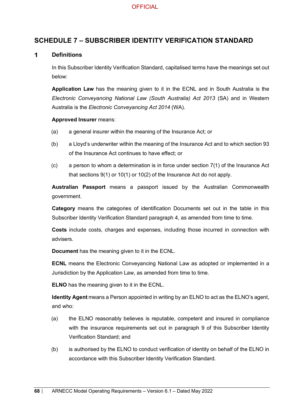## **SCHEDULE 7 – SUBSCRIBER IDENTITY VERIFICATION STANDARD**

#### $\mathbf{1}$ **Definitions**

In this Subscriber Identity Verification Standard, capitalised terms have the meanings set out below:

**Application Law** has the meaning given to it in the ECNL and in South Australia is the *Electronic Conveyancing National Law (South Australia) Act 2013* (SA) and in Western Australia is the *Electronic Conveyancing Act 2014* (WA).

#### **Approved Insurer** means:

- (a) a general insurer within the meaning of the Insurance Act; or
- (b) a Lloyd's underwriter within the meaning of the Insurance Act and to which section 93 of the Insurance Act continues to have effect; or
- (c) a person to whom a determination is in force under section 7(1) of the Insurance Act that sections 9(1) or 10(1) or 10(2) of the Insurance Act do not apply.

**Australian Passport** means a passport issued by the Australian Commonwealth government.

**Category** means the categories of identification Documents set out in the table in this Subscriber Identity Verification Standard paragraph 4, as amended from time to time.

**Costs** include costs, charges and expenses, including those incurred in connection with advisers.

**Document** has the meaning given to it in the ECNL.

**ECNL** means the Electronic Conveyancing National Law as adopted or implemented in a Jurisdiction by the Application Law, as amended from time to time.

**ELNO** has the meaning given to it in the ECNL.

**Identity Agent** means a Person appointed in writing by an ELNO to act as the ELNO's agent, and who:

- (a) the ELNO reasonably believes is reputable, competent and insured in compliance with the insurance requirements set out in paragraph 9 of this Subscriber Identity Verification Standard; and
- (b) is authorised by the ELNO to conduct verification of identity on behalf of the ELNO in accordance with this Subscriber Identity Verification Standard.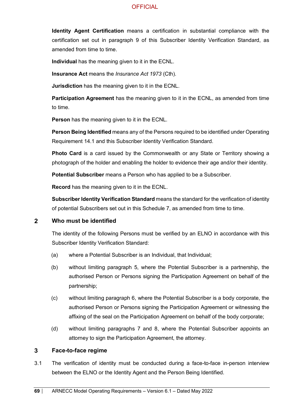**Identity Agent Certification** means a certification in substantial compliance with the certification set out in paragraph 9 of this Subscriber Identity Verification Standard, as amended from time to time.

**Individual** has the meaning given to it in the ECNL.

**Insurance Act** means the *Insurance Act 1973* (Cth).

**Jurisdiction** has the meaning given to it in the ECNL.

**Participation Agreement** has the meaning given to it in the ECNL, as amended from time to time.

**Person** has the meaning given to it in the ECNL.

**Person Being Identified** means any of the Persons required to be identified under Operating Requirement 14.1 and this Subscriber Identity Verification Standard.

**Photo Card** is a card issued by the Commonwealth or any State or Territory showing a photograph of the holder and enabling the holder to evidence their age and/or their identity.

**Potential Subscriber** means a Person who has applied to be a Subscriber.

**Record** has the meaning given to it in the ECNL.

**Subscriber Identity Verification Standard** means the standard for the verification of identity of potential Subscribers set out in this Schedule 7, as amended from time to time.

#### $\overline{2}$ **Who must be identified**

The identity of the following Persons must be verified by an ELNO in accordance with this Subscriber Identity Verification Standard:

- (a) where a Potential Subscriber is an Individual, that Individual;
- (b) without limiting paragraph 5, where the Potential Subscriber is a partnership, the authorised Person or Persons signing the Participation Agreement on behalf of the partnership;
- (c) without limiting paragraph 6, where the Potential Subscriber is a body corporate, the authorised Person or Persons signing the Participation Agreement or witnessing the affixing of the seal on the Participation Agreement on behalf of the body corporate;
- (d) without limiting paragraphs 7 and 8, where the Potential Subscriber appoints an attorney to sign the Participation Agreement, the attorney.

#### $\overline{3}$ **Face-to-face regime**

3.1 The verification of identity must be conducted during a face-to-face in-person interview between the ELNO or the Identity Agent and the Person Being Identified.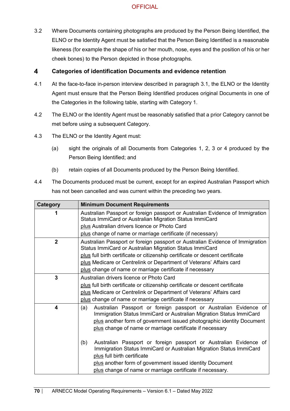3.2 Where Documents containing photographs are produced by the Person Being Identified, the ELNO or the Identity Agent must be satisfied that the Person Being Identified is a reasonable likeness (for example the shape of his or her mouth, nose, eyes and the position of his or her cheek bones) to the Person depicted in those photographs.

#### $\overline{\mathbf{4}}$ **Categories of identification Documents and evidence retention**

- 4.1 At the face-to-face in-person interview described in paragraph 3.1, the ELNO or the Identity Agent must ensure that the Person Being Identified produces original Documents in one of the Categories in the following table, starting with Category 1.
- 4.2 The ELNO or the Identity Agent must be reasonably satisfied that a prior Category cannot be met before using a subsequent Category.
- 4.3 The ELNO or the Identity Agent must:
	- (a) sight the originals of all Documents from Categories 1, 2, 3 or 4 produced by the Person Being Identified; and
	- (b) retain copies of all Documents produced by the Person Being Identified.
- 4.4 The Documents produced must be current, except for an expired Australian Passport which has not been cancelled and was current within the preceding two years.

| Category                | <b>Minimum Document Requirements</b>                                                                                                                                                                                                                                                                    |
|-------------------------|---------------------------------------------------------------------------------------------------------------------------------------------------------------------------------------------------------------------------------------------------------------------------------------------------------|
|                         | Australian Passport or foreign passport or Australian Evidence of Immigration<br>Status ImmiCard or Australian Migration Status ImmiCard                                                                                                                                                                |
|                         | plus Australian drivers licence or Photo Card                                                                                                                                                                                                                                                           |
|                         | plus change of name or marriage certificate (if necessary)                                                                                                                                                                                                                                              |
| $\overline{2}$          | Australian Passport or foreign passport or Australian Evidence of Immigration<br>Status ImmiCard or Australian Migration Status ImmiCard                                                                                                                                                                |
|                         | plus full birth certificate or citizenship certificate or descent certificate                                                                                                                                                                                                                           |
|                         | plus Medicare or Centrelink or Department of Veterans' Affairs card                                                                                                                                                                                                                                     |
|                         | plus change of name or marriage certificate if necessary                                                                                                                                                                                                                                                |
| $\mathbf{3}$            | Australian drivers licence or Photo Card                                                                                                                                                                                                                                                                |
|                         | plus full birth certificate or citizenship certificate or descent certificate                                                                                                                                                                                                                           |
|                         | plus Medicare or Centrelink or Department of Veterans' Affairs card                                                                                                                                                                                                                                     |
|                         | plus change of name or marriage certificate if necessary                                                                                                                                                                                                                                                |
| $\overline{\mathbf{4}}$ | Australian Passport or foreign passport or Australian Evidence of<br>(a)<br>Immigration Status ImmiCard or Australian Migration Status ImmiCard<br>plus another form of government issued photographic identity Document<br>plus change of name or marriage certificate if necessary                    |
|                         | Australian Passport or foreign passport or Australian Evidence of<br>(b)<br>Immigration Status ImmiCard or Australian Migration Status ImmiCard<br>plus full birth certificate<br>plus another form of government issued identity Document<br>plus change of name or marriage certificate if necessary. |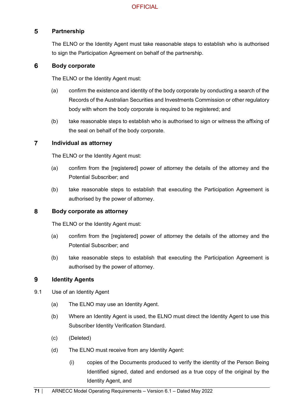#### $5\phantom{1}$ **Partnership**

The ELNO or the Identity Agent must take reasonable steps to establish who is authorised to sign the Participation Agreement on behalf of the partnership.

#### 6 **Body corporate**

The ELNO or the Identity Agent must:

- (a) confirm the existence and identity of the body corporate by conducting a search of the Records of the Australian Securities and Investments Commission or other regulatory body with whom the body corporate is required to be registered; and
- (b) take reasonable steps to establish who is authorised to sign or witness the affixing of the seal on behalf of the body corporate.

#### $\overline{7}$ **Individual as attorney**

The ELNO or the Identity Agent must:

- (a) confirm from the [registered] power of attorney the details of the attorney and the Potential Subscriber; and
- (b) take reasonable steps to establish that executing the Participation Agreement is authorised by the power of attorney.

#### 8 **Body corporate as attorney**

The ELNO or the Identity Agent must:

- (a) confirm from the [registered] power of attorney the details of the attorney and the Potential Subscriber; and
- (b) take reasonable steps to establish that executing the Participation Agreement is authorised by the power of attorney.

#### 9 **Identity Agents**

- 9.1 Use of an Identity Agent
	- (a) The ELNO may use an Identity Agent.
	- (b) Where an Identity Agent is used, the ELNO must direct the Identity Agent to use this Subscriber Identity Verification Standard.
	- (c) (Deleted)
	- (d) The ELNO must receive from any Identity Agent:
		- (i) copies of the Documents produced to verify the identity of the Person Being Identified signed, dated and endorsed as a true copy of the original by the Identity Agent, and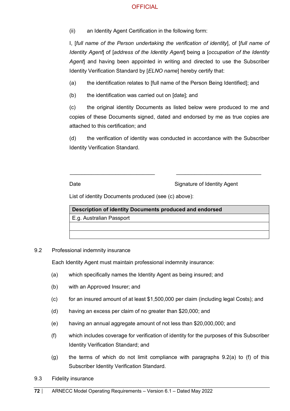(ii) an Identity Agent Certification in the following form:

I, [*full name of the Person undertaking the verification of identity*], of [*full name of Identity Agent*] of [*address of the Identity Agent*] being a [*occupation of the Identity Agent*] and having been appointed in writing and directed to use the Subscriber Identity Verification Standard by [*ELNO name*] hereby certify that:

(a) the identification relates to [full name of the Person Being Identified]; and

(b) the identification was carried out on [date]; and

(c) the original identity Documents as listed below were produced to me and copies of these Documents signed, dated and endorsed by me as true copies are attached to this certification; and

(d) the verification of identity was conducted in accordance with the Subscriber Identity Verification Standard.

\_\_\_\_\_\_\_\_\_\_\_\_\_\_\_\_\_\_\_\_\_\_\_\_\_\_\_\_ \_\_\_\_\_\_\_\_\_\_\_\_\_\_\_\_\_\_\_\_\_\_\_\_\_\_\_\_

Date **Signature of Identity Agent** 

List of identity Documents produced (see (c) above):

**Description of identity Documents produced and endorsed** E.g. Australian Passport

9.2 Professional indemnity insurance

Each Identity Agent must maintain professional indemnity insurance:

- (a) which specifically names the Identity Agent as being insured; and
- (b) with an Approved Insurer; and
- (c) for an insured amount of at least \$1,500,000 per claim (including legal Costs); and
- (d) having an excess per claim of no greater than \$20,000; and
- (e) having an annual aggregate amount of not less than \$20,000,000; and
- (f) which includes coverage for verification of identity for the purposes of this Subscriber Identity Verification Standard; and
- (g) the terms of which do not limit compliance with paragraphs 9.2(a) to (f) of this Subscriber Identity Verification Standard.
- 9.3 Fidelity insurance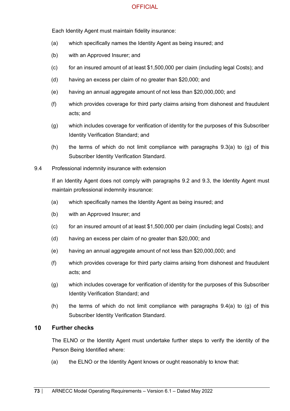## **OFFICIAL**

Each Identity Agent must maintain fidelity insurance:

- (a) which specifically names the Identity Agent as being insured; and
- (b) with an Approved Insurer; and
- (c) for an insured amount of at least \$1,500,000 per claim (including legal Costs); and
- (d) having an excess per claim of no greater than \$20,000; and
- (e) having an annual aggregate amount of not less than \$20,000,000; and
- (f) which provides coverage for third party claims arising from dishonest and fraudulent acts; and
- (g) which includes coverage for verification of identity for the purposes of this Subscriber Identity Verification Standard; and
- (h) the terms of which do not limit compliance with paragraphs  $9.3(a)$  to (g) of this Subscriber Identity Verification Standard.
- 9.4 Professional indemnity insurance with extension

If an Identity Agent does not comply with paragraphs 9.2 and 9.3, the Identity Agent must maintain professional indemnity insurance:

- (a) which specifically names the Identity Agent as being insured; and
- (b) with an Approved Insurer; and
- (c) for an insured amount of at least \$1,500,000 per claim (including legal Costs); and
- (d) having an excess per claim of no greater than \$20,000; and
- (e) having an annual aggregate amount of not less than \$20,000,000; and
- (f) which provides coverage for third party claims arising from dishonest and fraudulent acts; and
- (g) which includes coverage for verification of identity for the purposes of this Subscriber Identity Verification Standard; and
- (h) the terms of which do not limit compliance with paragraphs  $9.4(a)$  to (g) of this Subscriber Identity Verification Standard.

## $10<sup>°</sup>$ **Further checks**

The ELNO or the Identity Agent must undertake further steps to verify the identity of the Person Being Identified where:

(a) the ELNO or the Identity Agent knows or ought reasonably to know that: